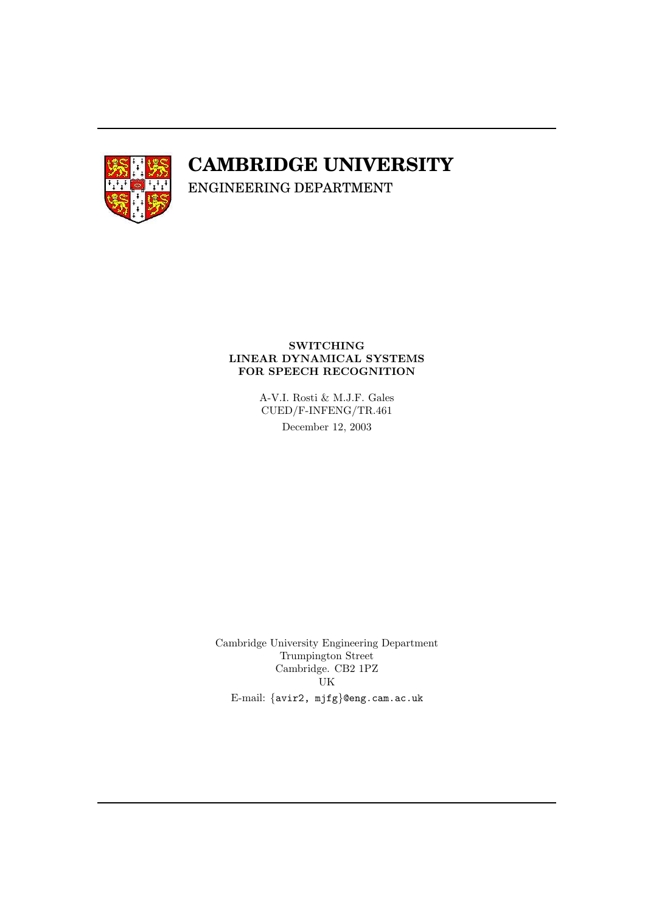

# **CAMBRIDGE UNIVERSITY**

ENGINEERING DEPARTMENT

## SWITCHING LINEAR DYNAMICAL SYSTEMS FOR SPEECH RECOGNITION

A-V.I. Rosti & M.J.F. Gales CUED/F-INFENG/TR.461 December 12, 2003

Cambridge University Engineering Department Trumpington Street Cambridge. CB2 1PZ UK E-mail: {avir2, mjfg}@eng.cam.ac.uk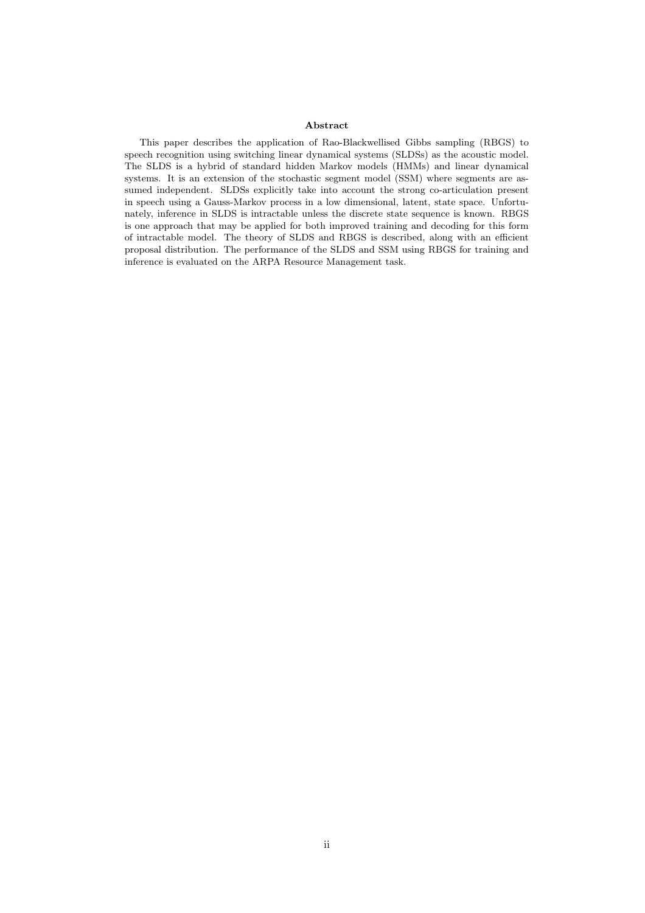#### Abstract

This paper describes the application of Rao-Blackwellised Gibbs sampling (RBGS) to speech recognition using switching linear dynamical systems (SLDSs) as the acoustic model. The SLDS is a hybrid of standard hidden Markov models (HMMs) and linear dynamical systems. It is an extension of the stochastic segment model (SSM) where segments are assumed independent. SLDSs explicitly take into account the strong co-articulation present in speech using a Gauss-Markov process in a low dimensional, latent, state space. Unfortunately, inference in SLDS is intractable unless the discrete state sequence is known. RBGS is one approach that may be applied for both improved training and decoding for this form of intractable model. The theory of SLDS and RBGS is described, along with an efficient proposal distribution. The performance of the SLDS and SSM using RBGS for training and inference is evaluated on the ARPA Resource Management task.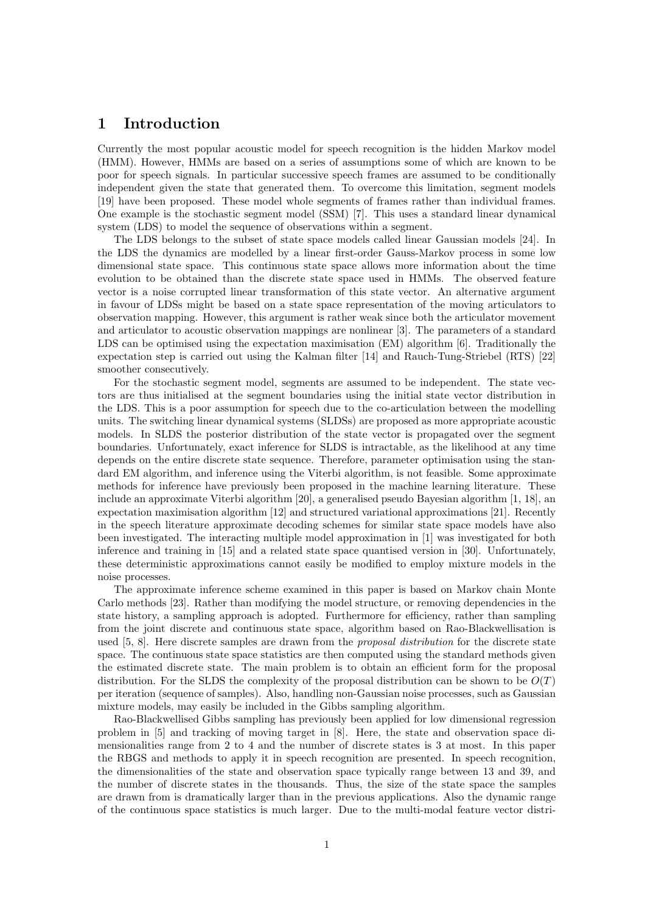## 1 Introduction

Currently the most popular acoustic model for speech recognition is the hidden Markov model (HMM). However, HMMs are based on a series of assumptions some of which are known to be poor for speech signals. In particular successive speech frames are assumed to be conditionally independent given the state that generated them. To overcome this limitation, segment models [19] have been proposed. These model whole segments of frames rather than individual frames. One example is the stochastic segment model (SSM) [7]. This uses a standard linear dynamical system (LDS) to model the sequence of observations within a segment.

The LDS belongs to the subset of state space models called linear Gaussian models [24]. In the LDS the dynamics are modelled by a linear first-order Gauss-Markov process in some low dimensional state space. This continuous state space allows more information about the time evolution to be obtained than the discrete state space used in HMMs. The observed feature vector is a noise corrupted linear transformation of this state vector. An alternative argument in favour of LDSs might be based on a state space representation of the moving articulators to observation mapping. However, this argument is rather weak since both the articulator movement and articulator to acoustic observation mappings are nonlinear [3]. The parameters of a standard LDS can be optimised using the expectation maximisation (EM) algorithm [6]. Traditionally the expectation step is carried out using the Kalman filter [14] and Rauch-Tung-Striebel (RTS) [22] smoother consecutively.

For the stochastic segment model, segments are assumed to be independent. The state vectors are thus initialised at the segment boundaries using the initial state vector distribution in the LDS. This is a poor assumption for speech due to the co-articulation between the modelling units. The switching linear dynamical systems (SLDSs) are proposed as more appropriate acoustic models. In SLDS the posterior distribution of the state vector is propagated over the segment boundaries. Unfortunately, exact inference for SLDS is intractable, as the likelihood at any time depends on the entire discrete state sequence. Therefore, parameter optimisation using the standard EM algorithm, and inference using the Viterbi algorithm, is not feasible. Some approximate methods for inference have previously been proposed in the machine learning literature. These include an approximate Viterbi algorithm [20], a generalised pseudo Bayesian algorithm [1, 18], an expectation maximisation algorithm [12] and structured variational approximations [21]. Recently in the speech literature approximate decoding schemes for similar state space models have also been investigated. The interacting multiple model approximation in [1] was investigated for both inference and training in [15] and a related state space quantised version in [30]. Unfortunately, these deterministic approximations cannot easily be modified to employ mixture models in the noise processes.

The approximate inference scheme examined in this paper is based on Markov chain Monte Carlo methods [23]. Rather than modifying the model structure, or removing dependencies in the state history, a sampling approach is adopted. Furthermore for efficiency, rather than sampling from the joint discrete and continuous state space, algorithm based on Rao-Blackwellisation is used [5, 8]. Here discrete samples are drawn from the *proposal distribution* for the discrete state space. The continuous state space statistics are then computed using the standard methods given the estimated discrete state. The main problem is to obtain an efficient form for the proposal distribution. For the SLDS the complexity of the proposal distribution can be shown to be  $O(T)$ per iteration (sequence of samples). Also, handling non-Gaussian noise processes, such as Gaussian mixture models, may easily be included in the Gibbs sampling algorithm.

Rao-Blackwellised Gibbs sampling has previously been applied for low dimensional regression problem in [5] and tracking of moving target in [8]. Here, the state and observation space dimensionalities range from 2 to 4 and the number of discrete states is 3 at most. In this paper the RBGS and methods to apply it in speech recognition are presented. In speech recognition, the dimensionalities of the state and observation space typically range between 13 and 39, and the number of discrete states in the thousands. Thus, the size of the state space the samples are drawn from is dramatically larger than in the previous applications. Also the dynamic range of the continuous space statistics is much larger. Due to the multi-modal feature vector distri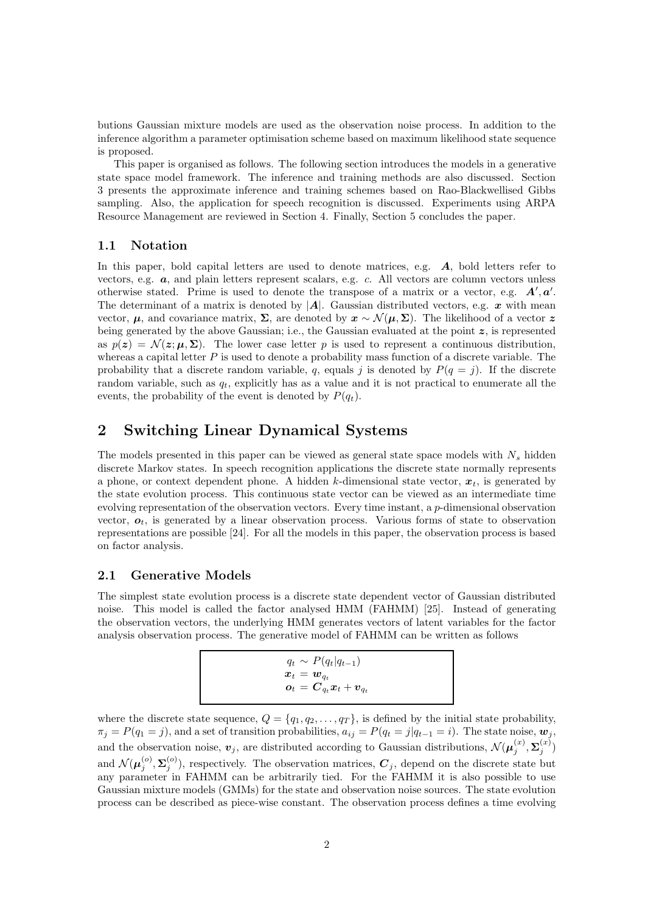butions Gaussian mixture models are used as the observation noise process. In addition to the inference algorithm a parameter optimisation scheme based on maximum likelihood state sequence is proposed.

This paper is organised as follows. The following section introduces the models in a generative state space model framework. The inference and training methods are also discussed. Section 3 presents the approximate inference and training schemes based on Rao-Blackwellised Gibbs sampling. Also, the application for speech recognition is discussed. Experiments using ARPA Resource Management are reviewed in Section 4. Finally, Section 5 concludes the paper.

## 1.1 Notation

In this paper, bold capital letters are used to denote matrices, e.g.  $\vec{A}$ , bold letters refer to vectors, e.g. a, and plain letters represent scalars, e.g. c. All vectors are column vectors unless otherwise stated. Prime is used to denote the transpose of a matrix or a vector, e.g.  $A', a'$ . The determinant of a matrix is denoted by  $|\mathbf{A}|$ . Gaussian distributed vectors, e.g.  $\boldsymbol{x}$  with mean vector,  $\mu$ , and covariance matrix,  $\Sigma$ , are denoted by  $x \sim \mathcal{N}(\mu, \Sigma)$ . The likelihood of a vector z being generated by the above Gaussian; i.e., the Gaussian evaluated at the point  $z$ , is represented as  $p(z) = \mathcal{N}(z; \mu, \Sigma)$ . The lower case letter p is used to represent a continuous distribution, whereas a capital letter  $P$  is used to denote a probability mass function of a discrete variable. The probability that a discrete random variable, q, equals j is denoted by  $P(q = j)$ . If the discrete random variable, such as  $q_t$ , explicitly has as a value and it is not practical to enumerate all the events, the probability of the event is denoted by  $P(q_t)$ .

# 2 Switching Linear Dynamical Systems

The models presented in this paper can be viewed as general state space models with  $N_s$  hidden discrete Markov states. In speech recognition applications the discrete state normally represents a phone, or context dependent phone. A hidden k-dimensional state vector,  $x_t$ , is generated by the state evolution process. This continuous state vector can be viewed as an intermediate time evolving representation of the observation vectors. Every time instant, a p-dimensional observation vector,  $o_t$ , is generated by a linear observation process. Various forms of state to observation representations are possible [24]. For all the models in this paper, the observation process is based on factor analysis.

## 2.1 Generative Models

The simplest state evolution process is a discrete state dependent vector of Gaussian distributed noise. This model is called the factor analysed HMM (FAHMM) [25]. Instead of generating the observation vectors, the underlying HMM generates vectors of latent variables for the factor analysis observation process. The generative model of FAHMM can be written as follows

| $q_t \sim P(q_t q_{t-1})$                                                         |
|-----------------------------------------------------------------------------------|
| $\boldsymbol{x}_t = \boldsymbol{w}_{q_t}$                                         |
| $\boldsymbol{o}_t = \boldsymbol{C}_{q_t} \boldsymbol{x}_t + \boldsymbol{v}_{q_t}$ |

where the discrete state sequence,  $Q = \{q_1, q_2, \ldots, q_T\}$ , is defined by the initial state probability,  $\pi_j = P(q_1 = j)$ , and a set of transition probabilities,  $a_{ij} = P(q_t = j|q_{t-1} = i)$ . The state noise,  $\mathbf{w}_j$ , and the observation noise,  $v_j$ , are distributed according to Gaussian distributions,  $\mathcal{N}(\mu_j^{(x)})$  $_j^{(x)}, \mathbf{\Sigma}_j^{(x)}$  $\binom{x}{j}$ and  $\mathcal{N}(\boldsymbol{\mu}_{j}^{(o)},\boldsymbol{\Sigma}_{j}^{(o)})$ , respectively. The observation matrices,  $\boldsymbol{C}_{j}$ , depend on the discrete state but any parameter in FAHMM can be arbitrarily tied. For the FAHMM it is also possible to use Gaussian mixture models (GMMs) for the state and observation noise sources. The state evolution process can be described as piece-wise constant. The observation process defines a time evolving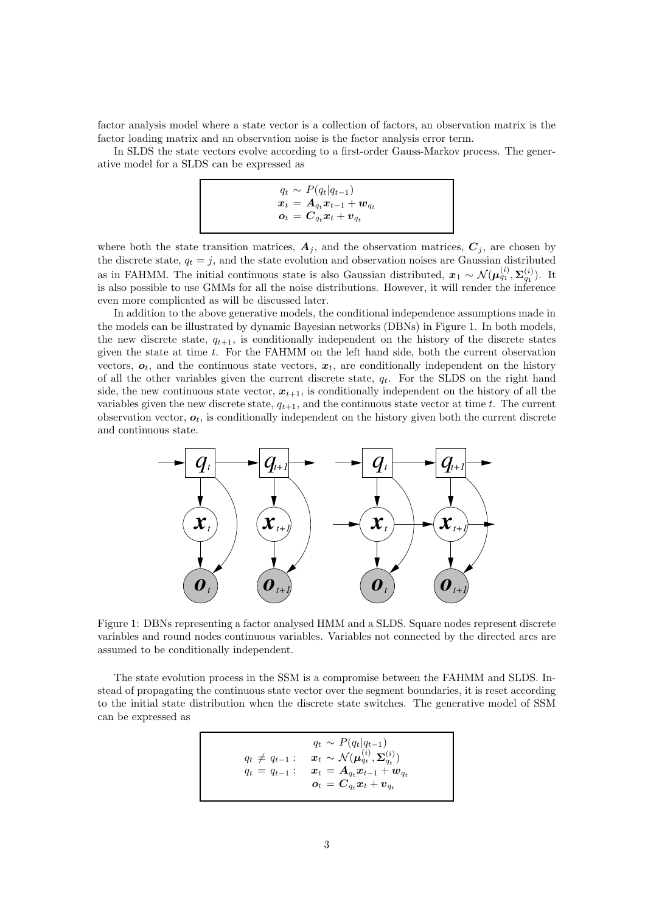factor analysis model where a state vector is a collection of factors, an observation matrix is the factor loading matrix and an observation noise is the factor analysis error term.

In SLDS the state vectors evolve according to a first-order Gauss-Markov process. The generative model for a SLDS can be expressed as

$$
\left. \begin{array}{l} q_t \thicksim P(q_t|q_{t-1}) \\ \boldsymbol{x}_t \thinspace = \thinspace \boldsymbol{A}_{q_t} \boldsymbol{x}_{t-1} + \boldsymbol{w}_{q_t} \\ \boldsymbol{o}_t \thinspace = \thinspace \boldsymbol{C}_{q_t} \boldsymbol{x}_t + \boldsymbol{v}_{q_t} \end{array} \right|
$$

where both the state transition matrices,  $A_j$ , and the observation matrices,  $C_j$ , are chosen by the discrete state,  $q_t = j$ , and the state evolution and observation noises are Gaussian distributed as in FAHMM. The initial continuous state is also Gaussian distributed,  $x_1 \sim \mathcal{N}(\mu_{q_1}^{(i)}, \Sigma_{q_1}^{(i)})$ . It is also possible to use GMMs for all the noise distributions. However, it will render the inference even more complicated as will be discussed later.

In addition to the above generative models, the conditional independence assumptions made in the models can be illustrated by dynamic Bayesian networks (DBNs) in Figure 1. In both models, the new discrete state,  $q_{t+1}$ , is conditionally independent on the history of the discrete states given the state at time  $t$ . For the FAHMM on the left hand side, both the current observation vectors,  $o_t$ , and the continuous state vectors,  $x_t$ , are conditionally independent on the history of all the other variables given the current discrete state,  $q_t$ . For the SLDS on the right hand side, the new continuous state vector,  $x_{t+1}$ , is conditionally independent on the history of all the variables given the new discrete state,  $q_{t+1}$ , and the continuous state vector at time t. The current observation vector,  $o_t$ , is conditionally independent on the history given both the current discrete and continuous state.



Figure 1: DBNs representing a factor analysed HMM and a SLDS. Square nodes represent discrete variables and round nodes continuous variables. Variables not connected by the directed arcs are assumed to be conditionally independent.

The state evolution process in the SSM is a compromise between the FAHMM and SLDS. Instead of propagating the continuous state vector over the segment boundaries, it is reset according to the initial state distribution when the discrete state switches. The generative model of SSM can be expressed as

> $q_t \sim P(q_t|q_{t-1})$  $q_t \, \neq \, q_{t-1} : \quad \boldsymbol{x}_t \, \sim \, \mathcal{N}(\boldsymbol{\mu}_{q_t}^{(i)}, \boldsymbol{\Sigma}_{q_t}^{(i)})$  $q_t \,=\, q_{t-1} : \quad \boldsymbol{x}_t \,=\, \boldsymbol{A}_{q_t} \boldsymbol{x}_{t-1} + \boldsymbol{w}_{q_t}$  $\bm{o}_t = \bm{C}_{q_t} \bm{x}_t + \bm{v}_{q_t}$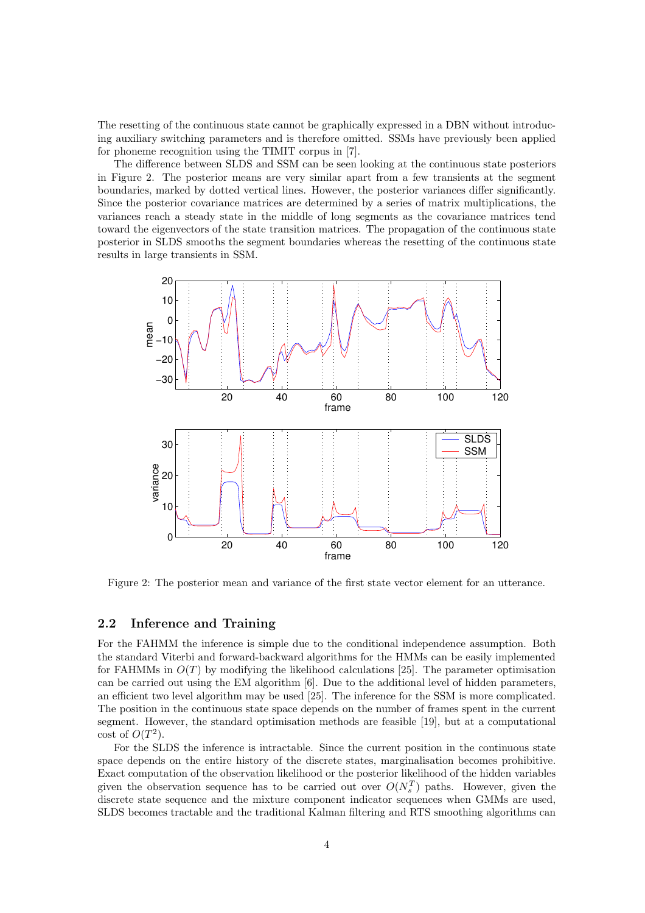The resetting of the continuous state cannot be graphically expressed in a DBN without introducing auxiliary switching parameters and is therefore omitted. SSMs have previously been applied for phoneme recognition using the TIMIT corpus in [7].

The difference between SLDS and SSM can be seen looking at the continuous state posteriors in Figure 2. The posterior means are very similar apart from a few transients at the segment boundaries, marked by dotted vertical lines. However, the posterior variances differ significantly. Since the posterior covariance matrices are determined by a series of matrix multiplications, the variances reach a steady state in the middle of long segments as the covariance matrices tend toward the eigenvectors of the state transition matrices. The propagation of the continuous state posterior in SLDS smooths the segment boundaries whereas the resetting of the continuous state results in large transients in SSM.



Figure 2: The posterior mean and variance of the first state vector element for an utterance.

#### 2.2 Inference and Training

For the FAHMM the inference is simple due to the conditional independence assumption. Both the standard Viterbi and forward-backward algorithms for the HMMs can be easily implemented for FAHMMs in  $O(T)$  by modifying the likelihood calculations [25]. The parameter optimisation can be carried out using the EM algorithm [6]. Due to the additional level of hidden parameters, an efficient two level algorithm may be used [25]. The inference for the SSM is more complicated. The position in the continuous state space depends on the number of frames spent in the current segment. However, the standard optimisation methods are feasible [19], but at a computational cost of  $O(T^2)$ .

For the SLDS the inference is intractable. Since the current position in the continuous state space depends on the entire history of the discrete states, marginalisation becomes prohibitive. Exact computation of the observation likelihood or the posterior likelihood of the hidden variables given the observation sequence has to be carried out over  $O(N_s^T)$  paths. However, given the discrete state sequence and the mixture component indicator sequences when GMMs are used, SLDS becomes tractable and the traditional Kalman filtering and RTS smoothing algorithms can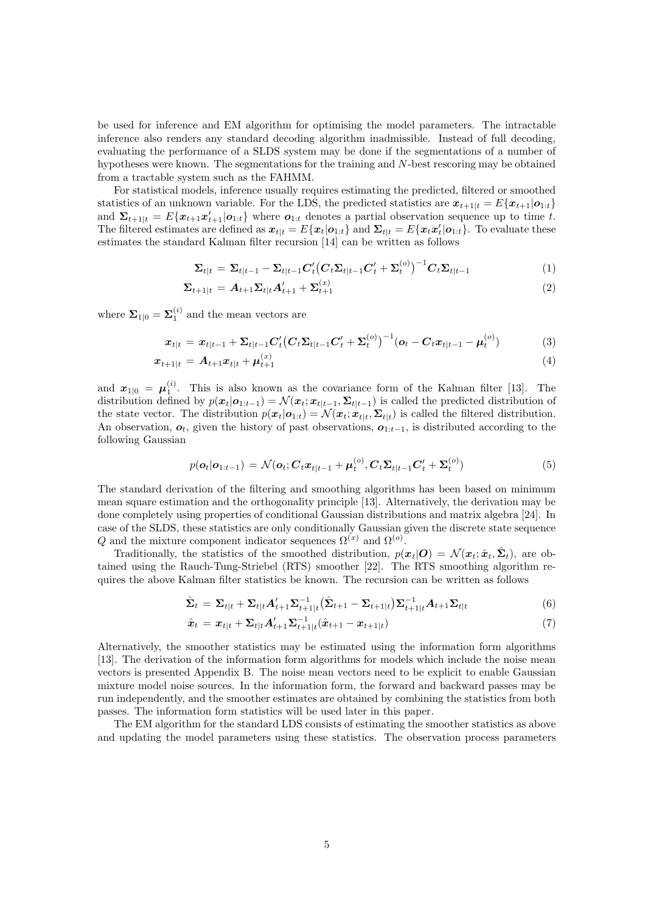be used for inference and EM algorithm for optimising the model parameters. The intractable inference also renders any standard decoding algorithm inadmissible. Instead of full decoding, evaluating the performance of a SLDS system may be done if the segmentations of a number of hypotheses were known. The segmentations for the training and N-best rescoring may be obtained from a tractable system such as the FAHMM.

For statistical models, inference usually requires estimating the predicted, filtered or smoothed statistics of an unknown variable. For the LDS, the predicted statistics are  $x_{t+1|t} = E\{x_{t+1}|\mathbf{o}_{1:t}\}\$ and  $\Sigma_{t+1|t} = E\{\mathbf{x}_{t+1}\mathbf{x}_{t+1} | \mathbf{o}_{1:t}\}\$  where  $\mathbf{o}_{1:t}$  denotes a partial observation sequence up to time t. The filtered estimates are defined as  $x_{t|t} = E\{x_t | o_{1:t}\}\$  and  $\Sigma_{t|t} = E\{x_t x_t' | o_{1:t}\}\$ . To evaluate these estimates the standard Kalman filter recursion [14] can be written as follows

$$
\Sigma_{t|t} = \Sigma_{t|t-1} - \Sigma_{t|t-1} C_t' (C_t \Sigma_{t|t-1} C_t' + \Sigma_t^{(o)})^{-1} C_t \Sigma_{t|t-1}
$$
\n(1)

$$
\Sigma_{t+1|t} = A_{t+1} \Sigma_{t|t} A'_{t+1} + \Sigma_{t+1}^{(x)} \tag{2}
$$

where  $\Sigma_{1|0} = \Sigma_1^{(i)}$  and the mean vectors are

$$
x_{t|t} = x_{t|t-1} + \sum_{t|t-1} C'_t (C_t \Sigma_{t|t-1} C'_t + \Sigma_t^{(o)})^{-1} (o_t - C_t x_{t|t-1} - \mu_t^{(o)})
$$
(3)

$$
x_{t+1|t} = A_{t+1}x_{t|t} + \mu_{t+1}^{(x)} \tag{4}
$$

and  $x_{1|0} = \mu_1^{(i)}$ . This is also known as the covariance form of the Kalman filter [13]. The distribution defined by  $p(\mathbf{x}_t|\mathbf{o}_{1:t-1}) = \mathcal{N}(\mathbf{x}_t; \mathbf{x}_{t|t-1}, \Sigma_{t|t-1})$  is called the predicted distribution of the state vector. The distribution  $p(\mathbf{x}_t|\mathbf{o}_{1:t}) = \mathcal{N}(\mathbf{x}_t; \mathbf{x}_{t|t}, \mathbf{\Sigma}_{t|t})$  is called the filtered distribution. An observation,  $o_t$ , given the history of past observations,  $o_{1:t-1}$ , is distributed according to the following Gaussian

$$
p(\boldsymbol{o}_t | \boldsymbol{o}_{1:t-1}) = \mathcal{N}(\boldsymbol{o}_t; \boldsymbol{C}_t \boldsymbol{x}_{t|t-1} + \boldsymbol{\mu}_t^{(o)}, \boldsymbol{C}_t \boldsymbol{\Sigma}_{t|t-1} \boldsymbol{C}_t' + \boldsymbol{\Sigma}_t^{(o)})
$$
(5)

The standard derivation of the filtering and smoothing algorithms has been based on minimum mean square estimation and the orthogonality principle [13]. Alternatively, the derivation may be done completely using properties of conditional Gaussian distributions and matrix algebra [24]. In case of the SLDS, these statistics are only conditionally Gaussian given the discrete state sequence Q and the mixture component indicator sequences  $\Omega^{(x)}$  and  $\Omega^{(o)}$ .

Traditionally, the statistics of the smoothed distribution,  $p(x_t|O) = \mathcal{N}(x_t; \hat{x}_t, \hat{\Sigma}_t)$ , are obtained using the Rauch-Tung-Striebel (RTS) smoother [22]. The RTS smoothing algorithm requires the above Kalman filter statistics be known. The recursion can be written as follows

$$
\hat{\Sigma}_t = \Sigma_{t|t} + \Sigma_{t|t} A'_{t+1} \Sigma_{t+1|t}^{-1} (\hat{\Sigma}_{t+1} - \Sigma_{t+1|t}) \Sigma_{t+1|t}^{-1} A_{t+1} \Sigma_{t|t}
$$
\n(6)

$$
\hat{x}_t = x_{t|t} + \sum_{t|t} A'_{t+1} \sum_{t+1|t}^{-1} (\hat{x}_{t+1} - x_{t+1|t})
$$
\n(7)

Alternatively, the smoother statistics may be estimated using the information form algorithms [13]. The derivation of the information form algorithms for models which include the noise mean vectors is presented Appendix B. The noise mean vectors need to be explicit to enable Gaussian mixture model noise sources. In the information form, the forward and backward passes may be run independently, and the smoother estimates are obtained by combining the statistics from both passes. The information form statistics will be used later in this paper.

The EM algorithm for the standard LDS consists of estimating the smoother statistics as above and updating the model parameters using these statistics. The observation process parameters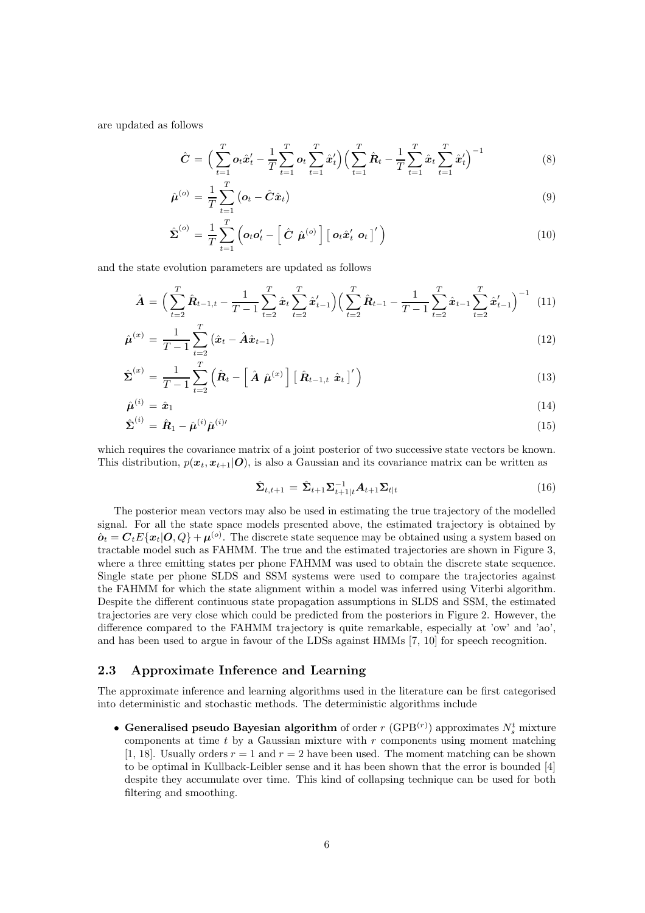are updated as follows

$$
\hat{C} = \Big(\sum_{t=1}^{T} \mathbf{o}_t \hat{x}'_t - \frac{1}{T} \sum_{t=1}^{T} \mathbf{o}_t \sum_{t=1}^{T} \hat{x}'_t \Big) \Big(\sum_{t=1}^{T} \hat{R}_t - \frac{1}{T} \sum_{t=1}^{T} \hat{x}_t \sum_{t=1}^{T} \hat{x}'_t \Big)^{-1} \tag{8}
$$

$$
\hat{\boldsymbol{\mu}}^{(o)} = \frac{1}{T} \sum_{t=1}^{T} \left( \boldsymbol{o}_t - \hat{\boldsymbol{C}} \hat{\boldsymbol{x}}_t \right) \tag{9}
$$

$$
\hat{\Sigma}^{(o)} = \frac{1}{T} \sum_{t=1}^{T} \left( o_t o_t' - \left[ \hat{C} \hat{\mu}^{(o)} \right] \left[ o_t \hat{x}_t' \ o_t \right]' \right)
$$
\n(10)

and the state evolution parameters are updated as follows

$$
\hat{A} = \Big(\sum_{t=2}^{T} \hat{R}_{t-1,t} - \frac{1}{T-1} \sum_{t=2}^{T} \hat{x}_t \sum_{t=2}^{T} \hat{x}_{t-1}'\Big) \Big(\sum_{t=2}^{T} \hat{R}_{t-1} - \frac{1}{T-1} \sum_{t=2}^{T} \hat{x}_{t-1} \sum_{t=2}^{T} \hat{x}_{t-1}'\Big)^{-1} (11)
$$

$$
\hat{\boldsymbol{\mu}}^{(x)} = \frac{1}{T-1} \sum_{t=2}^{T} (\hat{\boldsymbol{x}}_t - \hat{\boldsymbol{A}} \hat{\boldsymbol{x}}_{t-1})
$$
\n(12)

$$
\hat{\Sigma}^{(x)} = \frac{1}{T-1} \sum_{t=2}^{T} \left( \hat{\boldsymbol{R}}_t - \left[ \hat{\boldsymbol{A}} \hat{\boldsymbol{\mu}}^{(x)} \right] \left[ \hat{\boldsymbol{R}}_{t-1,t} \hat{\boldsymbol{x}}_t \right]^\prime \right)
$$
(13)

$$
\hat{\boldsymbol{\mu}}^{(i)} = \hat{\boldsymbol{x}}_1 \tag{14}
$$

$$
\hat{\boldsymbol{\Sigma}}^{(i)} = \hat{\boldsymbol{R}}_1 - \hat{\boldsymbol{\mu}}^{(i)} \hat{\boldsymbol{\mu}}^{(i) \prime}
$$
\n
$$
(15)
$$

which requires the covariance matrix of a joint posterior of two successive state vectors be known. This distribution,  $p(x_t, x_{t+1} | O)$ , is also a Gaussian and its covariance matrix can be written as

$$
\hat{\Sigma}_{t,t+1} = \hat{\Sigma}_{t+1} \Sigma_{t+1|t}^{-1} A_{t+1} \Sigma_{t|t}
$$
\n(16)

The posterior mean vectors may also be used in estimating the true trajectory of the modelled signal. For all the state space models presented above, the estimated trajectory is obtained by  $\hat{\boldsymbol{o}}_t = \boldsymbol{C}_t E\{\boldsymbol{x}_t | \boldsymbol{O}, Q\} + \boldsymbol{\mu}^{(o)}$ . The discrete state sequence may be obtained using a system based on tractable model such as FAHMM. The true and the estimated trajectories are shown in Figure 3, where a three emitting states per phone FAHMM was used to obtain the discrete state sequence. Single state per phone SLDS and SSM systems were used to compare the trajectories against the FAHMM for which the state alignment within a model was inferred using Viterbi algorithm. Despite the different continuous state propagation assumptions in SLDS and SSM, the estimated trajectories are very close which could be predicted from the posteriors in Figure 2. However, the difference compared to the FAHMM trajectory is quite remarkable, especially at 'ow' and 'ao', and has been used to argue in favour of the LDSs against HMMs [7, 10] for speech recognition.

## 2.3 Approximate Inference and Learning

The approximate inference and learning algorithms used in the literature can be first categorised into deterministic and stochastic methods. The deterministic algorithms include

• Generalised pseudo Bayesian algorithm of order  $r$  (GPB<sup>(r)</sup>) approximates  $N_s^t$  mixture components at time  $t$  by a Gaussian mixture with  $r$  components using moment matching [1, 18]. Usually orders  $r = 1$  and  $r = 2$  have been used. The moment matching can be shown to be optimal in Kullback-Leibler sense and it has been shown that the error is bounded [4] despite they accumulate over time. This kind of collapsing technique can be used for both filtering and smoothing.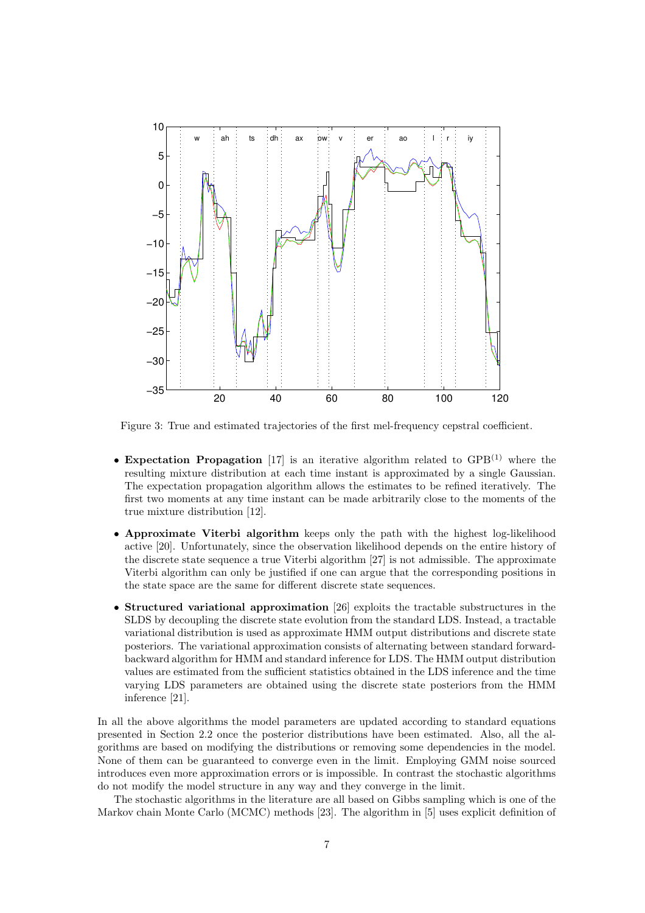

Figure 3: True and estimated trajectories of the first mel-frequency cepstral coefficient.

- Expectation Propagation [17] is an iterative algorithm related to  $GPB<sup>(1)</sup>$  where the resulting mixture distribution at each time instant is approximated by a single Gaussian. The expectation propagation algorithm allows the estimates to be refined iteratively. The first two moments at any time instant can be made arbitrarily close to the moments of the true mixture distribution [12].
- Approximate Viterbi algorithm keeps only the path with the highest log-likelihood active [20]. Unfortunately, since the observation likelihood depends on the entire history of the discrete state sequence a true Viterbi algorithm [27] is not admissible. The approximate Viterbi algorithm can only be justified if one can argue that the corresponding positions in the state space are the same for different discrete state sequences.
- Structured variational approximation [26] exploits the tractable substructures in the SLDS by decoupling the discrete state evolution from the standard LDS. Instead, a tractable variational distribution is used as approximate HMM output distributions and discrete state posteriors. The variational approximation consists of alternating between standard forwardbackward algorithm for HMM and standard inference for LDS. The HMM output distribution values are estimated from the sufficient statistics obtained in the LDS inference and the time varying LDS parameters are obtained using the discrete state posteriors from the HMM inference [21].

In all the above algorithms the model parameters are updated according to standard equations presented in Section 2.2 once the posterior distributions have been estimated. Also, all the algorithms are based on modifying the distributions or removing some dependencies in the model. None of them can be guaranteed to converge even in the limit. Employing GMM noise sourced introduces even more approximation errors or is impossible. In contrast the stochastic algorithms do not modify the model structure in any way and they converge in the limit.

The stochastic algorithms in the literature are all based on Gibbs sampling which is one of the Markov chain Monte Carlo (MCMC) methods [23]. The algorithm in [5] uses explicit definition of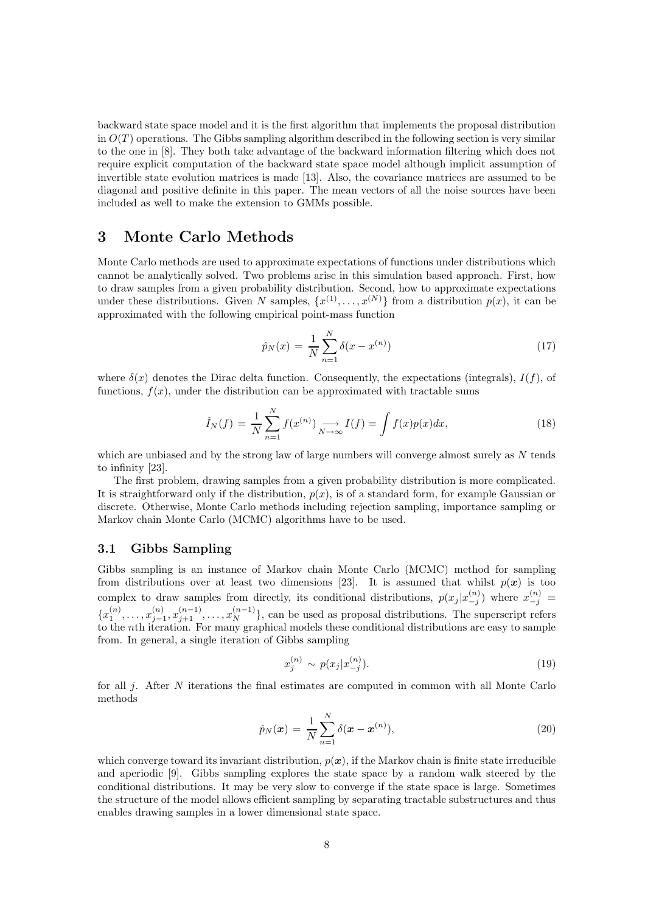backward state space model and it is the first algorithm that implements the proposal distribution in  $O(T)$  operations. The Gibbs sampling algorithm described in the following section is very similar to the one in [8]. They both take advantage of the backward information filtering which does not require explicit computation of the backward state space model although implicit assumption of invertible state evolution matrices is made [13]. Also, the covariance matrices are assumed to be diagonal and positive definite in this paper. The mean vectors of all the noise sources have been included as well to make the extension to GMMs possible.

# 3 Monte Carlo Methods

Monte Carlo methods are used to approximate expectations of functions under distributions which cannot be analytically solved. Two problems arise in this simulation based approach. First, how to draw samples from a given probability distribution. Second, how to approximate expectations under these distributions. Given N samples,  $\{x^{(1)},...,x^{(N)}\}$  from a distribution  $p(x)$ , it can be approximated with the following empirical point-mass function

$$
\hat{p}_N(x) = \frac{1}{N} \sum_{n=1}^{N} \delta(x - x^{(n)})
$$
\n(17)

where  $\delta(x)$  denotes the Dirac delta function. Consequently, the expectations (integrals),  $I(f)$ , of functions,  $f(x)$ , under the distribution can be approximated with tractable sums

$$
\hat{I}_N(f) = \frac{1}{N} \sum_{n=1}^N f(x^{(n)}) \underset{N \to \infty}{\longrightarrow} I(f) = \int f(x) p(x) dx,\tag{18}
$$

which are unbiased and by the strong law of large numbers will converge almost surely as  $N$  tends to infinity [23].

The first problem, drawing samples from a given probability distribution is more complicated. It is straightforward only if the distribution,  $p(x)$ , is of a standard form, for example Gaussian or discrete. Otherwise, Monte Carlo methods including rejection sampling, importance sampling or Markov chain Monte Carlo (MCMC) algorithms have to be used.

## 3.1 Gibbs Sampling

Gibbs sampling is an instance of Markov chain Monte Carlo (MCMC) method for sampling from distributions over at least two dimensions [23]. It is assumed that whilst  $p(x)$  is too complex to draw samples from directly, its conditional distributions,  $p(x_j | x_{-j}^{(n)})$  where  $x_{-j}^{(n)}$  =  $-j$  $\{x_1^{(n)}, \ldots, x_{j-1}^{(n)}\}$  $\{x_1^{(n)}, x_2^{(n-1)}, \ldots, x_N^{(n-1)}\}$ , can be used as proposal distributions. The superscript refers to the nth iteration. For many graphical models these conditional distributions are easy to sample from. In general, a single iteration of Gibbs sampling

$$
x_j^{(n)} \sim p(x_j | x_{-j}^{(n)}).
$$
\n(19)

for all *i*. After N iterations the final estimates are computed in common with all Monte Carlo methods

$$
\hat{p}_N(\bm{x}) = \frac{1}{N} \sum_{n=1}^N \delta(\bm{x} - \bm{x}^{(n)}),
$$
\n(20)

which converge toward its invariant distribution,  $p(x)$ , if the Markov chain is finite state irreducible and aperiodic [9]. Gibbs sampling explores the state space by a random walk steered by the conditional distributions. It may be very slow to converge if the state space is large. Sometimes the structure of the model allows efficient sampling by separating tractable substructures and thus enables drawing samples in a lower dimensional state space.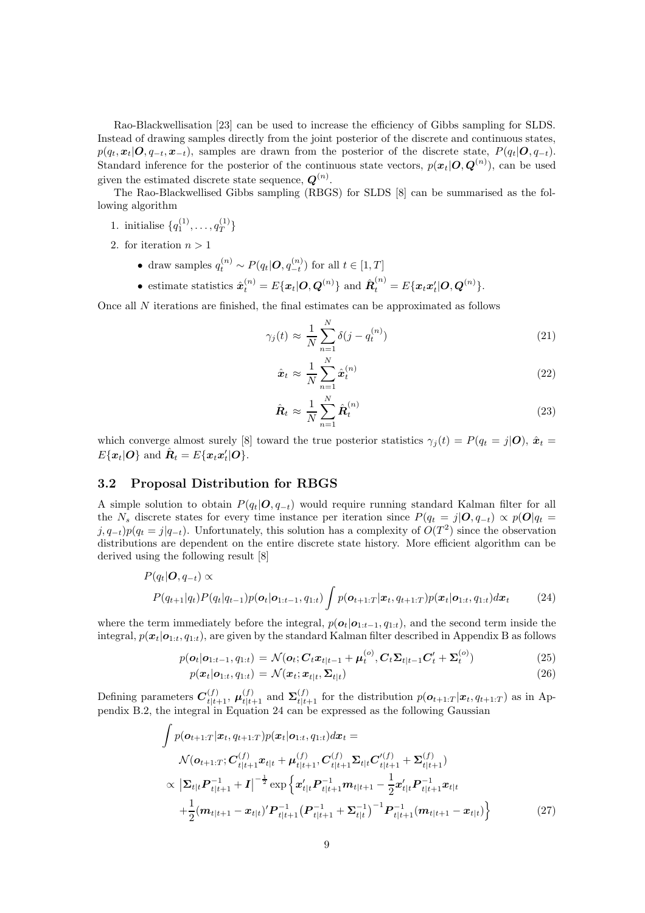Rao-Blackwellisation [23] can be used to increase the efficiency of Gibbs sampling for SLDS. Instead of drawing samples directly from the joint posterior of the discrete and continuous states,  $p(q_t, x_t | \mathbf{O}, q_{-t}, x_{-t})$ , samples are drawn from the posterior of the discrete state,  $P(q_t | \mathbf{O}, q_{-t})$ . Standard inference for the posterior of the continuous state vectors,  $p(\mathbf{x}_t|\mathbf{O}, \mathbf{Q}^{(n)})$ , can be used given the estimated discrete state sequence,  $Q^{(n)}$ .

The Rao-Blackwellised Gibbs sampling (RBGS) for SLDS [8] can be summarised as the following algorithm

- 1. initialise  $\{q_1^{(1)}, \ldots, q_T^{(1)}\}$  $\hat{\tau}$ <sup>'</sup>
- 2. for iteration  $n > 1$ 
	- draw samples  $q_t^{(n)} \sim P(q_t | \boldsymbol{O}, q_{-t}^{(n)})$  for all  $t \in [1, T]$
	- estimate statistics  $\hat{\boldsymbol{x}}_t^{(n)} = E\{\boldsymbol{x}_t | \boldsymbol{O}, \boldsymbol{Q}^{(n)}\}$  and  $\hat{\boldsymbol{R}}_t^{(n)} = E\{\boldsymbol{x}_t \boldsymbol{x}_t' | \boldsymbol{O}, \boldsymbol{Q}^{(n)}\}.$

Once all  $N$  iterations are finished, the final estimates can be approximated as follows

$$
\gamma_j(t) \approx \frac{1}{N} \sum_{n=1}^N \delta(j - q_t^{(n)}) \tag{21}
$$

$$
\hat{\boldsymbol{x}}_t \approx \frac{1}{N} \sum_{n=1}^N \hat{\boldsymbol{x}}_t^{(n)} \tag{22}
$$

$$
\hat{\boldsymbol{R}}_t \approx \frac{1}{N} \sum_{n=1}^N \hat{\boldsymbol{R}}_t^{(n)} \tag{23}
$$

which converge almost surely [8] toward the true posterior statistics  $\gamma_i(t) = P(q_t = j|\mathbf{0}), \hat{\mathbf{x}}_t =$  $E\{\boldsymbol{x}_t|\boldsymbol{O}\}\text{ and }\hat{\boldsymbol{R}}_t=E\{\boldsymbol{x}_t\boldsymbol{x}_t'|\boldsymbol{O}\}.$ 

## 3.2 Proposal Distribution for RBGS

A simple solution to obtain  $P(q_t|\mathbf{O}, q_{-t})$  would require running standard Kalman filter for all the N<sub>s</sub> discrete states for every time instance per iteration since  $P(q_t = j | \mathbf{O}, q_{-t}) \propto p(\mathbf{O}|q_t =$  $j, q_{-t}$ ) $p(q_t = j|q_{-t})$ . Unfortunately, this solution has a complexity of  $O(T^2)$  since the observation distributions are dependent on the entire discrete state history. More efficient algorithm can be derived using the following result [8]

$$
P(q_t|\boldsymbol{O}, q_{-t}) \propto
$$
  
\n
$$
P(q_{t+1}|q_t)P(q_t|q_{t-1})p(\boldsymbol{o}_t|\boldsymbol{o}_{1:t-1}, q_{1:t}) \int p(\boldsymbol{o}_{t+1:T}|\boldsymbol{x}_t, q_{t+1:T})p(\boldsymbol{x}_t|\boldsymbol{o}_{1:t}, q_{1:t})d\boldsymbol{x}_t
$$
\n(24)

where the term immediately before the integral,  $p(o_t|o_{1:t-1}, q_{1:t})$ , and the second term inside the integral,  $p(x_t|\mathbf{o}_{1:t}, q_{1:t})$ , are given by the standard Kalman filter described in Appendix B as follows

$$
p(\boldsymbol{o}_t | \boldsymbol{o}_{1:t-1}, q_{1:t}) = \mathcal{N}(\boldsymbol{o}_t; \boldsymbol{C}_t \boldsymbol{x}_{t|t-1} + \boldsymbol{\mu}_t^{(o)}, \boldsymbol{C}_t \boldsymbol{\Sigma}_{t|t-1} \boldsymbol{C}_t' + \boldsymbol{\Sigma}_t^{(o)})
$$
(25)

$$
p(\boldsymbol{x}_t|\boldsymbol{o}_{1:t}, q_{1:t}) = \mathcal{N}(\boldsymbol{x}_t; \boldsymbol{x}_{t|t}, \boldsymbol{\Sigma}_{t|t})
$$
\n(26)

Defining parameters  $C_{t|t+1}^{(f)}$ ,  $\mu_{t|t+1}^{(f)}$  and  $\Sigma_{t|t+1}^{(f)}$  for the distribution  $p(\boldsymbol{o}_{t+1:T}|\boldsymbol{x}_t, q_{t+1:T})$  as in Appendix B.2, the integral in Equation 24 can be expressed as the following Gaussian

$$
\int p(\mathbf{o}_{t+1:T}|\mathbf{x}_t, q_{t+1:T}) p(\mathbf{x}_t|\mathbf{o}_{1:t}, q_{1:t}) d\mathbf{x}_t =
$$
\n
$$
\mathcal{N}(\mathbf{o}_{t+1:T}; \mathbf{C}_{t|t+1}^{(f)} \mathbf{x}_{t|t} + \mu_{t|t+1}^{(f)}, \mathbf{C}_{t|t+1}^{(f)} \Sigma_{t|t} \mathbf{C}_{t|t+1}^{\prime(f)} + \Sigma_{t|t+1}^{(f)})
$$
\n
$$
\propto |\Sigma_{t|t} \mathbf{P}_{t|t+1}^{-1} + \mathbf{I}|^{-\frac{1}{2}} \exp \left\{ \mathbf{x}_{t|t}^{\prime} \mathbf{P}_{t|t+1}^{-1} m_{t|t+1} - \frac{1}{2} \mathbf{x}_{t|t}^{\prime} \mathbf{P}_{t|t+1}^{-1} \mathbf{x}_{t|t} + \frac{1}{2} (m_{t|t+1} - \mathbf{x}_{t|t})^{\prime} \mathbf{P}_{t|t+1}^{-1} (\mathbf{P}_{t|t+1}^{-1} + \Sigma_{t|t}^{-1})^{-1} \mathbf{P}_{t|t+1}^{-1} (m_{t|t+1} - \mathbf{x}_{t|t}) \right\}
$$
\n(27)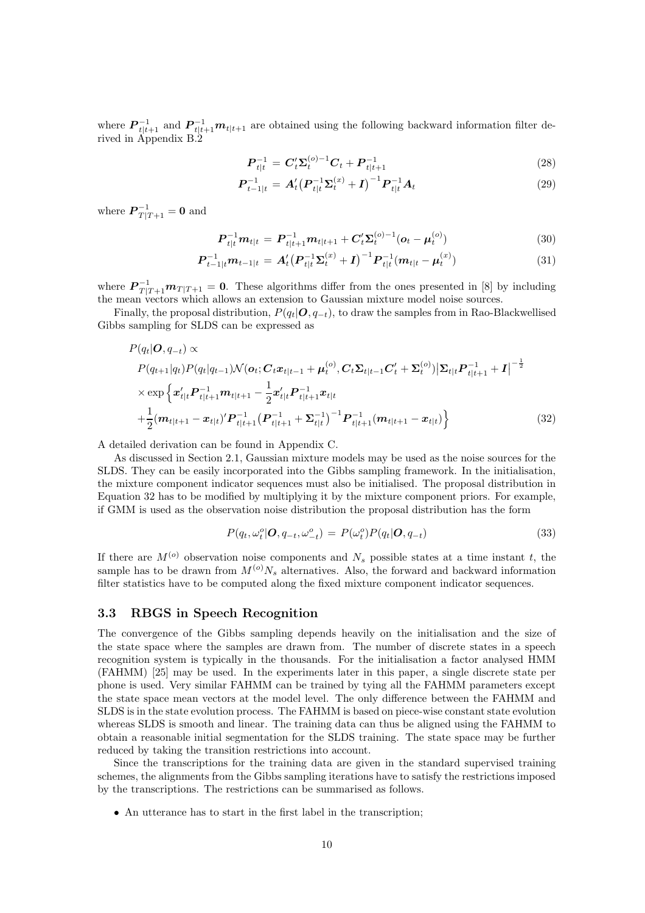where  $\mathbf{P}_{t|t+1}^{-1}$  and  $\mathbf{P}_{t|t+1}^{-1}\mathbf{m}_{t|t+1}$  are obtained using the following backward information filter de-<br>rived in Appendix B.2

$$
P_{t|t}^{-1} = C_t' \Sigma_t^{(o)-1} C_t + P_{t|t+1}^{-1}
$$
\n(28)

$$
\boldsymbol{P}_{t-1|t}^{-1} = \boldsymbol{A}_t' \big(\boldsymbol{P}_{t|t}^{-1} \boldsymbol{\Sigma}_t^{(x)} + \boldsymbol{I}\big)^{-1} \boldsymbol{P}_{t|t}^{-1} \boldsymbol{A}_t \tag{29}
$$

where  $P_{T|T+1}^{-1} = 0$  and

$$
\boldsymbol{P}_{t|t}^{-1}\boldsymbol{m}_{t|t} = \boldsymbol{P}_{t|t+1}^{-1}\boldsymbol{m}_{t|t+1} + \boldsymbol{C}'_t \boldsymbol{\Sigma}_t^{(o)-1} (\boldsymbol{o}_t - \boldsymbol{\mu}_t^{(o)}) \tag{30}
$$

$$
\boldsymbol{P}_{t-1|t}^{-1} \boldsymbol{m}_{t-1|t} = \boldsymbol{A}_t' \big(\boldsymbol{P}_{t|t}^{-1} \boldsymbol{\Sigma}_t^{(x)} + \boldsymbol{I}\big)^{-1} \boldsymbol{P}_{t|t}^{-1} \big(\boldsymbol{m}_{t|t} - \boldsymbol{\mu}_t^{(x)}\big) \tag{31}
$$

where  $\mathbf{P}_{T|T+1}^{-1}\mathbf{m}_{T|T+1} = \mathbf{0}$ . These algorithms differ from the ones presented in [8] by including the mean vectors which allows an extension to Gaussian mixture model noise sources.

Finally, the proposal distribution,  $P(q_t|\mathbf{O}, q_{-t})$ , to draw the samples from in Rao-Blackwellised Gibbs sampling for SLDS can be expressed as

$$
P(q_t|\mathbf{O}, q_{-t}) \propto
$$
  
\n
$$
P(q_{t+1}|q_t)P(q_t|q_{t-1})\mathcal{N}(\mathbf{o}_t; \mathbf{C}_t \mathbf{x}_{t|t-1} + \boldsymbol{\mu}_t^{(o)}, \mathbf{C}_t \boldsymbol{\Sigma}_{t|t-1} \mathbf{C}_t' + \boldsymbol{\Sigma}_t^{(o)}) |\boldsymbol{\Sigma}_{t|t} \mathbf{P}_{t|t+1}^{-1} + \mathbf{I}|^{-\frac{1}{2}}
$$
  
\n
$$
\times \exp \left\{ \mathbf{x}_{t|t}' \mathbf{P}_{t|t+1}^{-1} \mathbf{m}_{t|t+1} - \frac{1}{2} \mathbf{x}_{t|t}' \mathbf{P}_{t|t+1}^{-1} \mathbf{x}_{t|t} + \frac{1}{2} (\mathbf{m}_{t|t+1} - \mathbf{x}_{t|t})' \mathbf{P}_{t|t+1}^{-1} (\mathbf{P}_{t|t+1}^{-1} + \boldsymbol{\Sigma}_{t|t}^{-1})^{-1} \mathbf{P}_{t|t+1}^{-1} (\mathbf{m}_{t|t+1} - \mathbf{x}_{t|t}) \right\}
$$
\n(32)

A detailed derivation can be found in Appendix C.

As discussed in Section 2.1, Gaussian mixture models may be used as the noise sources for the SLDS. They can be easily incorporated into the Gibbs sampling framework. In the initialisation, the mixture component indicator sequences must also be initialised. The proposal distribution in Equation 32 has to be modified by multiplying it by the mixture component priors. For example, if GMM is used as the observation noise distribution the proposal distribution has the form

$$
P(q_t, \omega_t^o | \boldsymbol{O}, q_{-t}, \omega_{-t}^o) = P(\omega_t^o) P(q_t | \boldsymbol{O}, q_{-t})
$$
\n(33)

If there are  $M^{(o)}$  observation noise components and  $N_s$  possible states at a time instant t, the sample has to be drawn from  $M^{(o)}N_s$  alternatives. Also, the forward and backward information filter statistics have to be computed along the fixed mixture component indicator sequences.

## 3.3 RBGS in Speech Recognition

The convergence of the Gibbs sampling depends heavily on the initialisation and the size of the state space where the samples are drawn from. The number of discrete states in a speech recognition system is typically in the thousands. For the initialisation a factor analysed HMM (FAHMM) [25] may be used. In the experiments later in this paper, a single discrete state per phone is used. Very similar FAHMM can be trained by tying all the FAHMM parameters except the state space mean vectors at the model level. The only difference between the FAHMM and SLDS is in the state evolution process. The FAHMM is based on piece-wise constant state evolution whereas SLDS is smooth and linear. The training data can thus be aligned using the FAHMM to obtain a reasonable initial segmentation for the SLDS training. The state space may be further reduced by taking the transition restrictions into account.

Since the transcriptions for the training data are given in the standard supervised training schemes, the alignments from the Gibbs sampling iterations have to satisfy the restrictions imposed by the transcriptions. The restrictions can be summarised as follows.

• An utterance has to start in the first label in the transcription;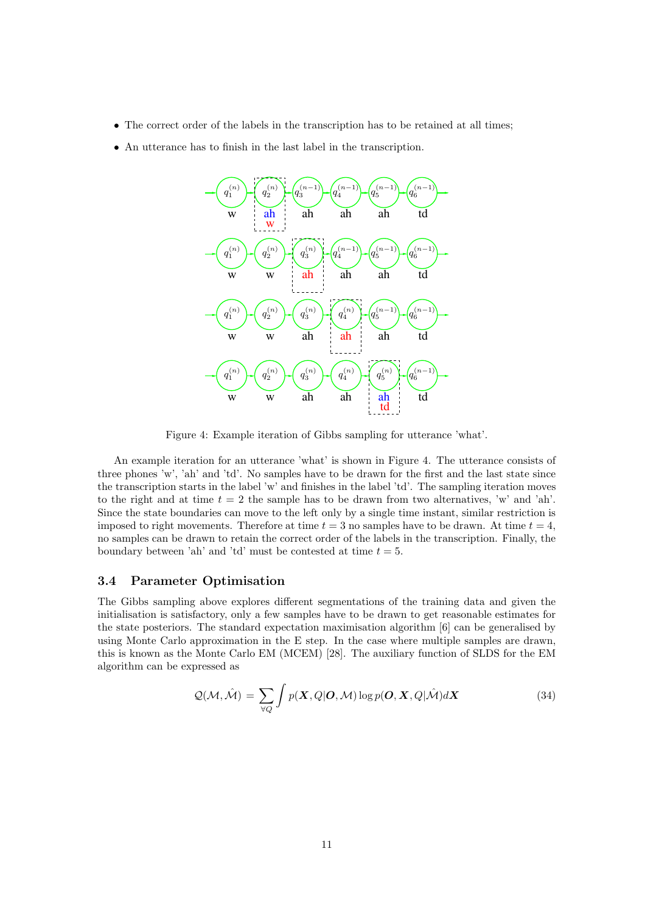- The correct order of the labels in the transcription has to be retained at all times;
- An utterance has to finish in the last label in the transcription.



Figure 4: Example iteration of Gibbs sampling for utterance 'what'.

An example iteration for an utterance 'what' is shown in Figure 4. The utterance consists of three phones 'w', 'ah' and 'td'. No samples have to be drawn for the first and the last state since the transcription starts in the label 'w' and finishes in the label 'td'. The sampling iteration moves to the right and at time  $t = 2$  the sample has to be drawn from two alternatives, 'w' and 'ah'. Since the state boundaries can move to the left only by a single time instant, similar restriction is imposed to right movements. Therefore at time  $t = 3$  no samples have to be drawn. At time  $t = 4$ , no samples can be drawn to retain the correct order of the labels in the transcription. Finally, the boundary between 'ah' and 'td' must be contested at time  $t = 5$ .

#### 3.4 Parameter Optimisation

The Gibbs sampling above explores different segmentations of the training data and given the initialisation is satisfactory, only a few samples have to be drawn to get reasonable estimates for the state posteriors. The standard expectation maximisation algorithm [6] can be generalised by using Monte Carlo approximation in the E step. In the case where multiple samples are drawn, this is known as the Monte Carlo EM (MCEM) [28]. The auxiliary function of SLDS for the EM algorithm can be expressed as

$$
Q(\mathcal{M}, \hat{\mathcal{M}}) = \sum_{\forall Q} \int p(\mathbf{X}, Q | \mathbf{O}, \mathcal{M}) \log p(\mathbf{O}, \mathbf{X}, Q | \hat{\mathcal{M}}) d\mathbf{X}
$$
(34)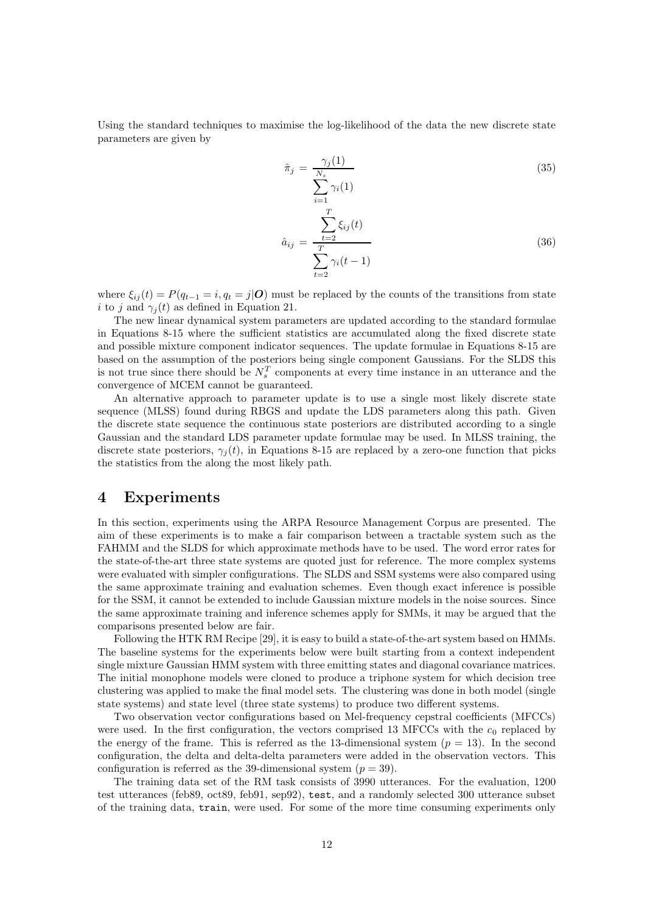Using the standard techniques to maximise the log-likelihood of the data the new discrete state parameters are given by

$$
\hat{\pi}_j = \frac{\gamma_j(1)}{\sum_{i=1}^{N_s} \gamma_i(1)}\tag{35}
$$

$$
\hat{a}_{ij} = \frac{\sum_{t=2}^{T} \xi_{ij}(t)}{\sum_{t=2}^{T} \gamma_i(t-1)}
$$
\n(36)

where  $\xi_{ij}(t) = P(q_{t-1} = i, q_t = j | \mathbf{O})$  must be replaced by the counts of the transitions from state i to j and  $\gamma_i(t)$  as defined in Equation 21.

The new linear dynamical system parameters are updated according to the standard formulae in Equations 8-15 where the sufficient statistics are accumulated along the fixed discrete state and possible mixture component indicator sequences. The update formulae in Equations 8-15 are based on the assumption of the posteriors being single component Gaussians. For the SLDS this is not true since there should be  $N_s^T$  components at every time instance in an utterance and the convergence of MCEM cannot be guaranteed.

An alternative approach to parameter update is to use a single most likely discrete state sequence (MLSS) found during RBGS and update the LDS parameters along this path. Given the discrete state sequence the continuous state posteriors are distributed according to a single Gaussian and the standard LDS parameter update formulae may be used. In MLSS training, the discrete state posteriors,  $\gamma_i(t)$ , in Equations 8-15 are replaced by a zero-one function that picks the statistics from the along the most likely path.

## 4 Experiments

In this section, experiments using the ARPA Resource Management Corpus are presented. The aim of these experiments is to make a fair comparison between a tractable system such as the FAHMM and the SLDS for which approximate methods have to be used. The word error rates for the state-of-the-art three state systems are quoted just for reference. The more complex systems were evaluated with simpler configurations. The SLDS and SSM systems were also compared using the same approximate training and evaluation schemes. Even though exact inference is possible for the SSM, it cannot be extended to include Gaussian mixture models in the noise sources. Since the same approximate training and inference schemes apply for SMMs, it may be argued that the comparisons presented below are fair.

Following the HTK RM Recipe [29], it is easy to build a state-of-the-artsystem based on HMMs. The baseline systems for the experiments below were built starting from a context independent single mixture Gaussian HMM system with three emitting states and diagonal covariance matrices. The initial monophone models were cloned to produce a triphone system for which decision tree clustering was applied to make the final model sets. The clustering was done in both model (single state systems) and state level (three state systems) to produce two different systems.

Two observation vector configurations based on Mel-frequency cepstral coefficients (MFCCs) were used. In the first configuration, the vectors comprised 13 MFCCs with the  $c_0$  replaced by the energy of the frame. This is referred as the 13-dimensional system  $(p = 13)$ . In the second configuration, the delta and delta-delta parameters were added in the observation vectors. This configuration is referred as the 39-dimensional system  $(p = 39)$ .

The training data set of the RM task consists of 3990 utterances. For the evaluation, 1200 test utterances (feb89, oct89, feb91, sep92), test, and a randomly selected 300 utterance subset of the training data, train, were used. For some of the more time consuming experiments only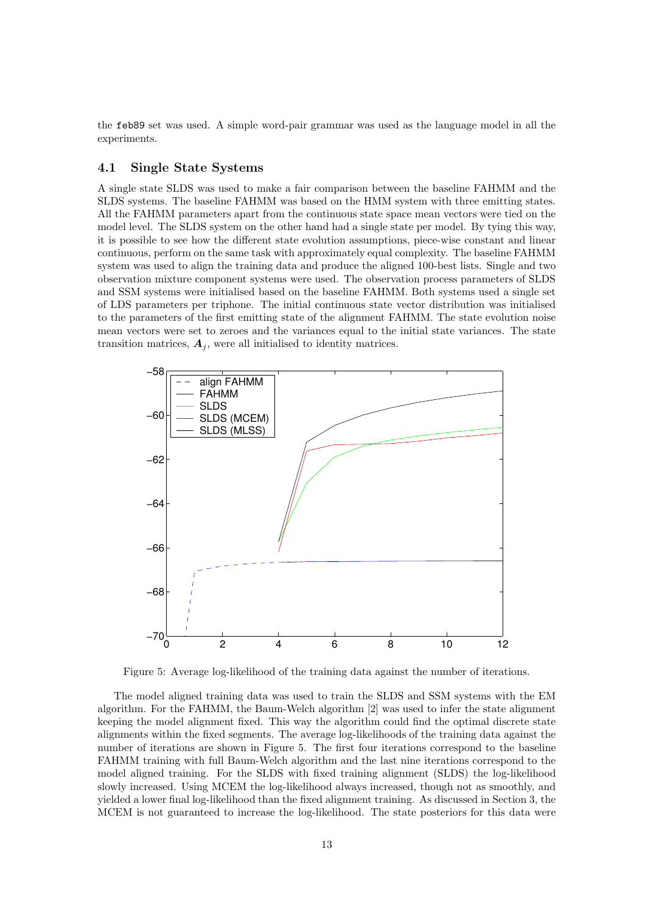the feb89 set was used. A simple word-pair grammar was used as the language model in all the experiments.

## 4.1 Single State Systems

A single state SLDS was used to make a fair comparison between the baseline FAHMM and the SLDS systems. The baseline FAHMM was based on the HMM system with three emitting states. All the FAHMM parameters apart from the continuous state space mean vectors were tied on the model level. The SLDS system on the other hand had a single state per model. By tying this way, it is possible to see how the different state evolution assumptions, piece-wise constant and linear continuous, perform on the same task with approximately equal complexity. The baseline FAHMM system was used to align the training data and produce the aligned 100-best lists. Single and two observation mixture component systems were used. The observation process parameters of SLDS and SSM systems were initialised based on the baseline FAHMM. Both systems used a single set of LDS parameters per triphone. The initial continuous state vector distribution was initialised to the parameters of the first emitting state of the alignment FAHMM. The state evolution noise mean vectors were set to zeroes and the variances equal to the initial state variances. The state transition matrices,  $A_i$ , were all initialised to identity matrices.



Figure 5: Average log-likelihood of the training data against the number of iterations.

The model aligned training data was used to train the SLDS and SSM systems with the EM algorithm. For the FAHMM, the Baum-Welch algorithm [2] was used to infer the state alignment keeping the model alignment fixed. This way the algorithm could find the optimal discrete state alignments within the fixed segments. The average log-likelihoods of the training data against the number of iterations are shown in Figure 5. The first four iterations correspond to the baseline FAHMM training with full Baum-Welch algorithm and the last nine iterations correspond to the model aligned training. For the SLDS with fixed training alignment (SLDS) the log-likelihood slowly increased. Using MCEM the log-likelihood always increased, though not as smoothly, and yielded a lower final log-likelihood than the fixed alignment training. As discussed in Section 3, the MCEM is not guaranteed to increase the log-likelihood. The state posteriors for this data were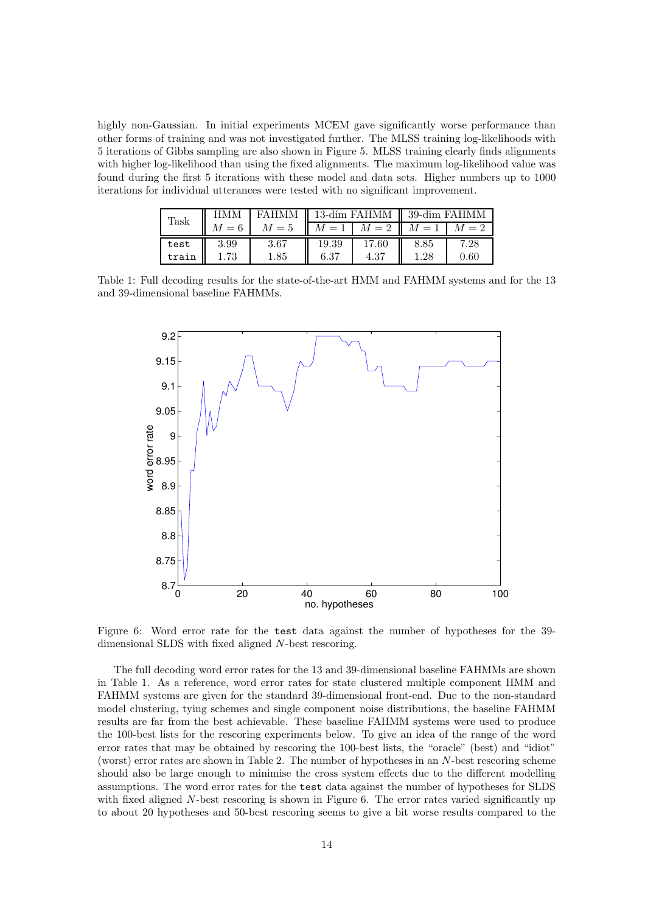highly non-Gaussian. In initial experiments MCEM gave significantly worse performance than other forms of training and was not investigated further. The MLSS training log-likelihoods with 5 iterations of Gibbs sampling are also shown in Figure 5. MLSS training clearly finds alignments with higher log-likelihood than using the fixed alignments. The maximum log-likelihood value was found during the first 5 iterations with these model and data sets. Higher numbers up to 1000 iterations for individual utterances were tested with no significant improvement.

| ${\rm Task}$ | <b>HMM</b> | FAHMM   13-dim FAHMM   39-dim FAHMM |       |                                 |      |      |
|--------------|------------|-------------------------------------|-------|---------------------------------|------|------|
|              | $M=6$      | $M=5$                               |       | $M = 1$ $M = 2$ $M = 1$ $M = 2$ |      |      |
| test         | 3.99       | 3.67                                | 19.39 | 17.60                           | 8.85 | 7.28 |
| train        | 1.73       | 1.85                                | 6.37  | 4.37                            | 1.28 | 0.60 |

Table 1: Full decoding results for the state-of-the-art HMM and FAHMM systems and for the 13 and 39-dimensional baseline FAHMMs.



Figure 6: Word error rate for the test data against the number of hypotheses for the 39 dimensional SLDS with fixed aligned N-best rescoring.

The full decoding word error rates for the 13 and 39-dimensional baseline FAHMMs are shown in Table 1. As a reference, word error rates for state clustered multiple component HMM and FAHMM systems are given for the standard 39-dimensional front-end. Due to the non-standard model clustering, tying schemes and single component noise distributions, the baseline FAHMM results are far from the best achievable. These baseline FAHMM systems were used to produce the 100-best lists for the rescoring experiments below. To give an idea of the range of the word error rates that may be obtained by rescoring the 100-best lists, the "oracle" (best) and "idiot" (worst) error rates are shown in Table 2. The number of hypotheses in an N-best rescoring scheme should also be large enough to minimise the cross system effects due to the different modelling assumptions. The word error rates for the test data against the number of hypotheses for SLDS with fixed aligned N-best rescoring is shown in Figure 6. The error rates varied significantly up to about 20 hypotheses and 50-best rescoring seems to give a bit worse results compared to the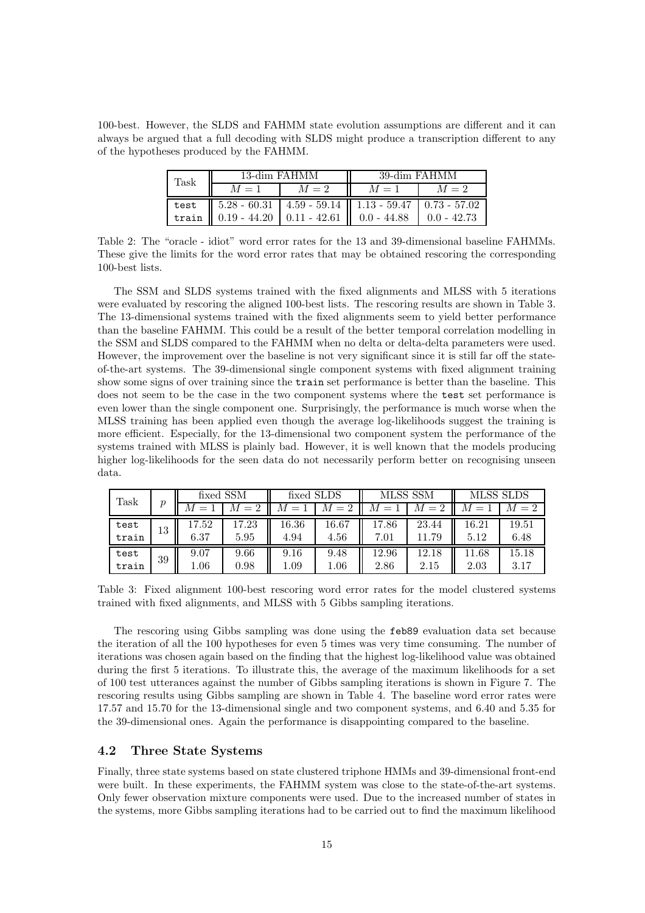100-best. However, the SLDS and FAHMM state evolution assumptions are different and it can always be argued that a full decoding with SLDS might produce a transcription different to any of the hypotheses produced by the FAHMM.

| ${\rm Task}$ | 13-dim FAHMM                                                                                            |       | 39-dim FAHMM |       |  |  |
|--------------|---------------------------------------------------------------------------------------------------------|-------|--------------|-------|--|--|
|              | $M=1$                                                                                                   | $M=2$ | $M=1$        | $M=2$ |  |  |
|              | test   $5.28 - 60.31$   $4.59 - 59.14$   $1.13 - 59.47$   $0.73 - 57.02$                                |       |              |       |  |  |
|              | train $\parallel$ 0.19 - 44.20 $\parallel$ 0.11 - 42.61 $\parallel$ 0.0 - 44.88 $\parallel$ 0.0 - 42.73 |       |              |       |  |  |

|                 |  |  |  |  |  |  | Table 2: The "oracle - idiot" word error rates for the 13 and 39-dimensional baseline FAHMMs.   |  |  |
|-----------------|--|--|--|--|--|--|-------------------------------------------------------------------------------------------------|--|--|
|                 |  |  |  |  |  |  | These give the limits for the word error rates that may be obtained rescoring the corresponding |  |  |
| 100-best lists. |  |  |  |  |  |  |                                                                                                 |  |  |

The SSM and SLDS systems trained with the fixed alignments and MLSS with 5 iterations were evaluated by rescoring the aligned 100-best lists. The rescoring results are shown in Table 3. The 13-dimensional systems trained with the fixed alignments seem to yield better performance than the baseline FAHMM. This could be a result of the better temporal correlation modelling in the SSM and SLDS compared to the FAHMM when no delta or delta-delta parameters were used. However, the improvement over the baseline is not very significant since it is still far off the stateof-the-art systems. The 39-dimensional single component systems with fixed alignment training show some signs of over training since the train set performance is better than the baseline. This does not seem to be the case in the two component systems where the test set performance is even lower than the single component one. Surprisingly, the performance is much worse when the MLSS training has been applied even though the average log-likelihoods suggest the training is more efficient. Especially, for the 13-dimensional two component system the performance of the systems trained with MLSS is plainly bad. However, it is well known that the models producing higher log-likelihoods for the seen data do not necessarily perform better on recognising unseen data.

| Task  | $\boldsymbol{v}$ |          | fixed SSM | fixed SLDS |            | MLSS SSM |       |       | <b>MLSS SLDS</b> |
|-------|------------------|----------|-----------|------------|------------|----------|-------|-------|------------------|
|       |                  | M        |           |            | $= 2$<br>М | $=$      |       |       |                  |
| test  | 13               | 17.52    | 17.23     | 16.36      | 16.67      | 17.86    | 23.44 | 16.21 | 19.51            |
| train |                  | 6.37     | 5.95      | 4.94       | 4.56       | 7.01     | .79   | 5.12  | 6.48             |
| test  | 39               | 9.07     | 9.66      | 9.16       | 9.48       | 12.96    | 12.18 | 11.68 | 15.18            |
| train |                  | $1.06\,$ | 0.98      | $1.09\,$   | $1.06\,$   | 2.86     | 2.15  | 2.03  | 3.17             |

Table 3: Fixed alignment 100-best rescoring word error rates for the model clustered systems trained with fixed alignments, and MLSS with 5 Gibbs sampling iterations.

The rescoring using Gibbs sampling was done using the feb89 evaluation data set because the iteration of all the 100 hypotheses for even 5 times was very time consuming. The number of iterations was chosen again based on the finding that the highest log-likelihood value was obtained during the first 5 iterations. To illustrate this, the average of the maximum likelihoods for a set of 100 test utterances against the number of Gibbs sampling iterations is shown in Figure 7. The rescoring results using Gibbs sampling are shown in Table 4. The baseline word error rates were 17.57 and 15.70 for the 13-dimensional single and two component systems, and 6.40 and 5.35 for the 39-dimensional ones. Again the performance is disappointing compared to the baseline.

## 4.2 Three State Systems

Finally, three state systems based on state clustered triphone HMMs and 39-dimensional front-end were built. In these experiments, the FAHMM system was close to the state-of-the-art systems. Only fewer observation mixture components were used. Due to the increased number of states in the systems, more Gibbs sampling iterations had to be carried out to find the maximum likelihood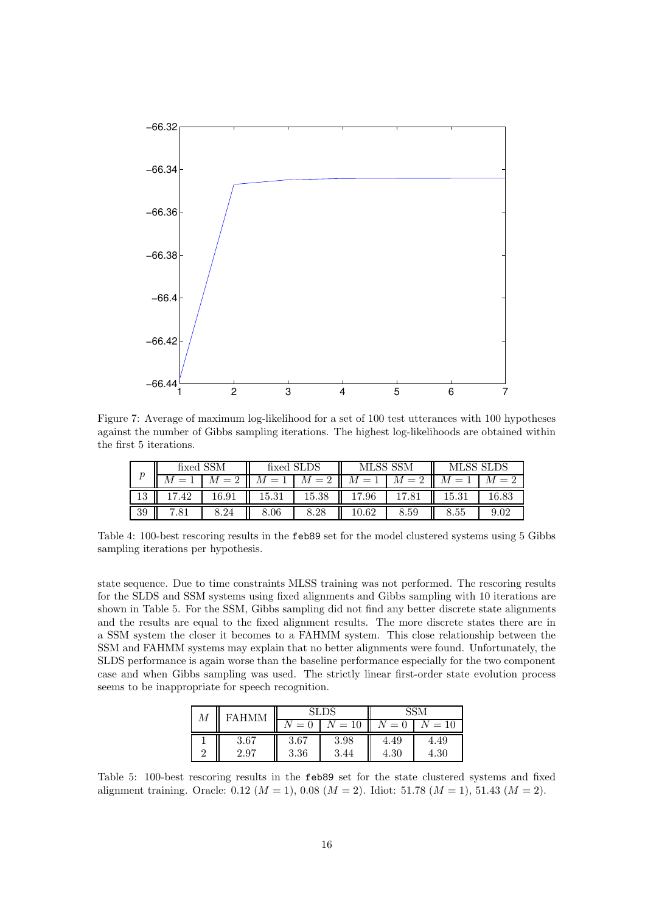

Figure 7: Average of maximum log-likelihood for a set of 100 test utterances with 100 hypotheses against the number of Gibbs sampling iterations. The highest log-likelihoods are obtained within the first 5 iterations.

|                  |                | fixed SSM | fixed SLDS |       | MLSS SSM |      | MLSS SLDS   |  |  |
|------------------|----------------|-----------|------------|-------|----------|------|-------------|--|--|
| $\boldsymbol{p}$ |                |           |            |       |          |      |             |  |  |
| ŦΩ               | $\Lambda$      | .6.91     | 15.31      | 15.38 | .96      |      | 31<br>15.31 |  |  |
| 39               | $^{\prime}.81$ | .24       | $8.06\,$   | 8.28  | 10.62    | 8.59 | 8.55        |  |  |

Table 4: 100-best rescoring results in the feb89 set for the model clustered systems using 5 Gibbs sampling iterations per hypothesis.

state sequence. Due to time constraints MLSS training was not performed. The rescoring results for the SLDS and SSM systems using fixed alignments and Gibbs sampling with 10 iterations are shown in Table 5. For the SSM, Gibbs sampling did not find any better discrete state alignments and the results are equal to the fixed alignment results. The more discrete states there are in a SSM system the closer it becomes to a FAHMM system. This close relationship between the SSM and FAHMM systems may explain that no better alignments were found. Unfortunately, the SLDS performance is again worse than the baseline performance especially for the two component case and when Gibbs sampling was used. The strictly linear first-order state evolution process seems to be inappropriate for speech recognition.

| М |      |      | 81. DS            |      |                   |  |
|---|------|------|-------------------|------|-------------------|--|
|   |      | —    | $\qquad \qquad -$ | $=$  |                   |  |
|   | 3.67 | 3.67 | 3.98              | 4.49 | 4.49              |  |
| ∩ | 2.97 | 3.36 | 3.<br>.44         | 4.30 | 4.30 <sub>1</sub> |  |

Table 5: 100-best rescoring results in the feb89 set for the state clustered systems and fixed alignment training. Oracle: 0.12 ( $M = 1$ ), 0.08 ( $M = 2$ ). Idiot: 51.78 ( $M = 1$ ), 51.43 ( $M = 2$ ).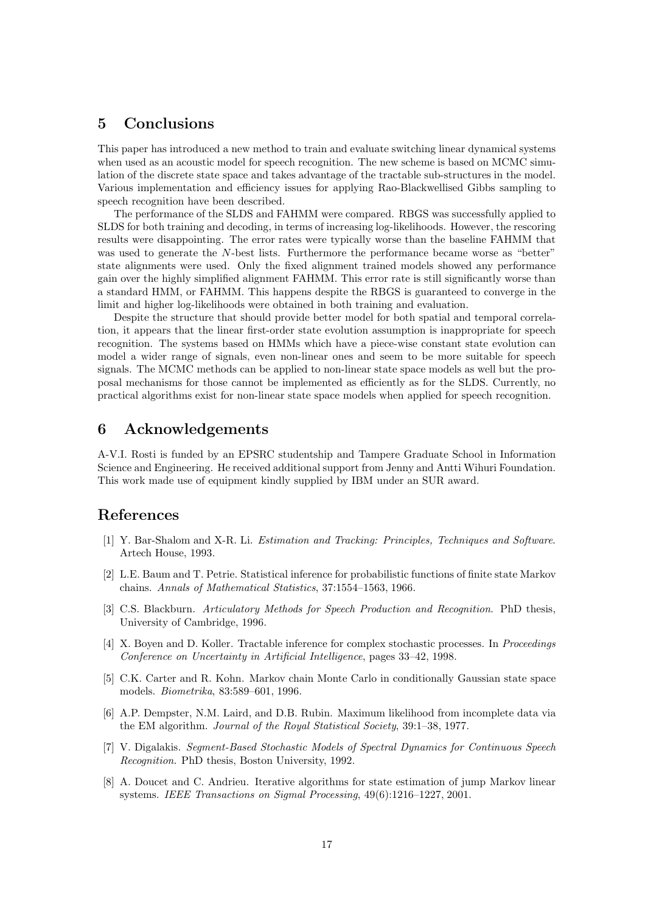# 5 Conclusions

This paper has introduced a new method to train and evaluate switching linear dynamical systems when used as an acoustic model for speech recognition. The new scheme is based on MCMC simulation of the discrete state space and takes advantage of the tractable sub-structures in the model. Various implementation and efficiency issues for applying Rao-Blackwellised Gibbs sampling to speech recognition have been described.

The performance of the SLDS and FAHMM were compared. RBGS was successfully applied to SLDS for both training and decoding, in terms of increasing log-likelihoods. However, the rescoring results were disappointing. The error rates were typically worse than the baseline FAHMM that was used to generate the N-best lists. Furthermore the performance became worse as "better" state alignments were used. Only the fixed alignment trained models showed any performance gain over the highly simplified alignment FAHMM. This error rate is still significantly worse than a standard HMM, or FAHMM. This happens despite the RBGS is guaranteed to converge in the limit and higher log-likelihoods were obtained in both training and evaluation.

Despite the structure that should provide better model for both spatial and temporal correlation, it appears that the linear first-order state evolution assumption is inappropriate for speech recognition. The systems based on HMMs which have a piece-wise constant state evolution can model a wider range of signals, even non-linear ones and seem to be more suitable for speech signals. The MCMC methods can be applied to non-linear state space models as well but the proposal mechanisms for those cannot be implemented as efficiently as for the SLDS. Currently, no practical algorithms exist for non-linear state space models when applied for speech recognition.

## 6 Acknowledgements

A-V.I. Rosti is funded by an EPSRC studentship and Tampere Graduate School in Information Science and Engineering. He received additional support from Jenny and Antti Wihuri Foundation. This work made use of equipment kindly supplied by IBM under an SUR award.

## References

- [1] Y. Bar-Shalom and X-R. Li. Estimation and Tracking: Principles, Techniques and Software. Artech House, 1993.
- [2] L.E. Baum and T. Petrie. Statistical inference for probabilistic functions of finite state Markov chains. Annals of Mathematical Statistics, 37:1554–1563, 1966.
- [3] C.S. Blackburn. Articulatory Methods for Speech Production and Recognition. PhD thesis, University of Cambridge, 1996.
- [4] X. Boyen and D. Koller. Tractable inference for complex stochastic processes. In Proceedings Conference on Uncertainty in Artificial Intelligence, pages 33–42, 1998.
- [5] C.K. Carter and R. Kohn. Markov chain Monte Carlo in conditionally Gaussian state space models. Biometrika, 83:589–601, 1996.
- [6] A.P. Dempster, N.M. Laird, and D.B. Rubin. Maximum likelihood from incomplete data via the EM algorithm. Journal of the Royal Statistical Society, 39:1–38, 1977.
- [7] V. Digalakis. Segment-Based Stochastic Models of Spectral Dynamics for Continuous Speech Recognition. PhD thesis, Boston University, 1992.
- [8] A. Doucet and C. Andrieu. Iterative algorithms for state estimation of jump Markov linear systems. IEEE Transactions on Sigmal Processing, 49(6):1216–1227, 2001.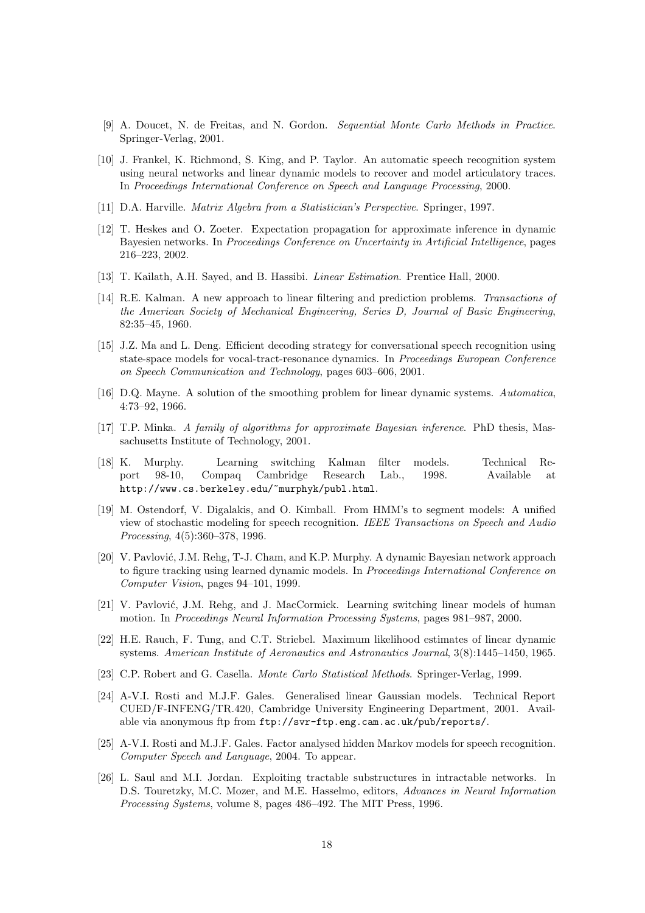- [9] A. Doucet, N. de Freitas, and N. Gordon. Sequential Monte Carlo Methods in Practice. Springer-Verlag, 2001.
- [10] J. Frankel, K. Richmond, S. King, and P. Taylor. An automatic speech recognition system using neural networks and linear dynamic models to recover and model articulatory traces. In Proceedings International Conference on Speech and Language Processing, 2000.
- [11] D.A. Harville. Matrix Algebra from a Statistician's Perspective. Springer, 1997.
- [12] T. Heskes and O. Zoeter. Expectation propagation for approximate inference in dynamic Bayesien networks. In *Proceedings Conference on Uncertainty in Artificial Intelligence*, pages 216–223, 2002.
- [13] T. Kailath, A.H. Sayed, and B. Hassibi. Linear Estimation. Prentice Hall, 2000.
- [14] R.E. Kalman. A new approach to linear filtering and prediction problems. Transactions of the American Society of Mechanical Engineering, Series D, Journal of Basic Engineering, 82:35–45, 1960.
- [15] J.Z. Ma and L. Deng. Efficient decoding strategy for conversational speech recognition using state-space models for vocal-tract-resonance dynamics. In Proceedings European Conference on Speech Communication and Technology, pages 603–606, 2001.
- [16] D.Q. Mayne. A solution of the smoothing problem for linear dynamic systems. Automatica, 4:73–92, 1966.
- [17] T.P. Minka. A family of algorithms for approximate Bayesian inference. PhD thesis, Massachusetts Institute of Technology, 2001.
- [18] K. Murphy. Learning switching Kalman filter models. Technical Report 98-10, Compaq Cambridge Research Lab., 1998. Available at http://www.cs.berkeley.edu/~murphyk/publ.html.
- [19] M. Ostendorf, V. Digalakis, and O. Kimball. From HMM's to segment models: A unified view of stochastic modeling for speech recognition. IEEE Transactions on Speech and Audio Processing, 4(5):360–378, 1996.
- [20] V. Pavlović, J.M. Rehg, T-J. Cham, and K.P. Murphy. A dynamic Bayesian network approach to figure tracking using learned dynamic models. In Proceedings International Conference on Computer Vision, pages 94–101, 1999.
- [21] V. Pavlović, J.M. Rehg, and J. MacCormick. Learning switching linear models of human motion. In Proceedings Neural Information Processing Systems, pages 981–987, 2000.
- [22] H.E. Rauch, F. Tung, and C.T. Striebel. Maximum likelihood estimates of linear dynamic systems. American Institute of Aeronautics and Astronautics Journal, 3(8):1445–1450, 1965.
- [23] C.P. Robert and G. Casella. Monte Carlo Statistical Methods. Springer-Verlag, 1999.
- [24] A-V.I. Rosti and M.J.F. Gales. Generalised linear Gaussian models. Technical Report CUED/F-INFENG/TR.420, Cambridge University Engineering Department, 2001. Available via anonymous ftp from ftp://svr-ftp.eng.cam.ac.uk/pub/reports/.
- [25] A-V.I. Rosti and M.J.F. Gales. Factor analysed hidden Markov models for speech recognition. Computer Speech and Language, 2004. To appear.
- [26] L. Saul and M.I. Jordan. Exploiting tractable substructures in intractable networks. In D.S. Touretzky, M.C. Mozer, and M.E. Hasselmo, editors, Advances in Neural Information Processing Systems, volume 8, pages 486–492. The MIT Press, 1996.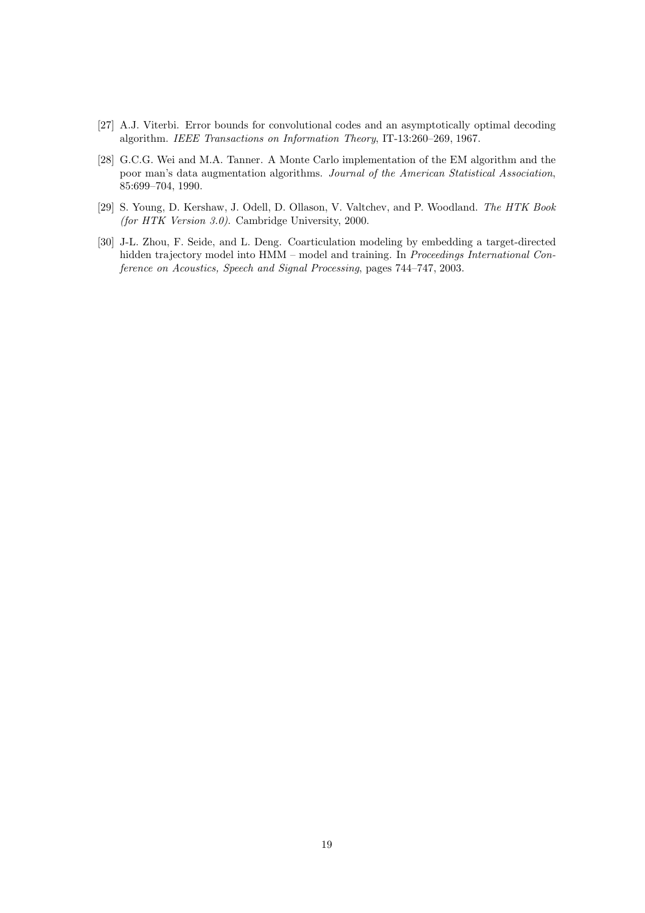- [27] A.J. Viterbi. Error bounds for convolutional codes and an asymptotically optimal decoding algorithm. IEEE Transactions on Information Theory, IT-13:260–269, 1967.
- [28] G.C.G. Wei and M.A. Tanner. A Monte Carlo implementation of the EM algorithm and the poor man's data augmentation algorithms. Journal of the American Statistical Association, 85:699–704, 1990.
- [29] S. Young, D. Kershaw, J. Odell, D. Ollason, V. Valtchev, and P. Woodland. The HTK Book (for HTK Version 3.0). Cambridge University, 2000.
- [30] J-L. Zhou, F. Seide, and L. Deng. Coarticulation modeling by embedding a target-directed hidden trajectory model into HMM – model and training. In Proceedings International Conference on Acoustics, Speech and Signal Processing, pages 744–747, 2003.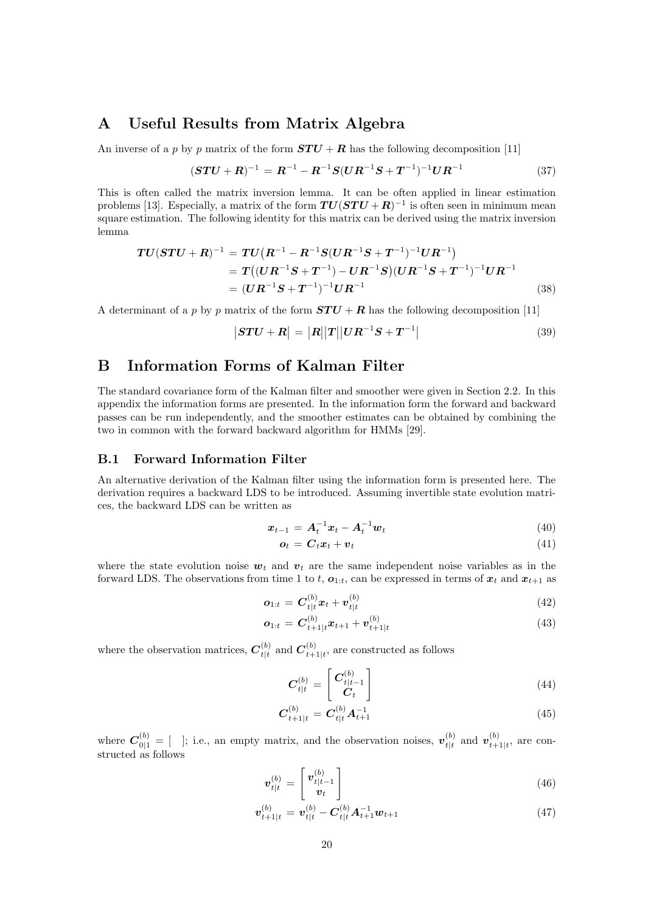# A Useful Results from Matrix Algebra

An inverse of a p by p matrix of the form  $STU + R$  has the following decomposition [11]

$$
(\boldsymbol{STU} + \boldsymbol{R})^{-1} = \boldsymbol{R}^{-1} - \boldsymbol{R}^{-1}\boldsymbol{S}(\boldsymbol{U}\boldsymbol{R}^{-1}\boldsymbol{S} + \boldsymbol{T}^{-1})^{-1}\boldsymbol{U}\boldsymbol{R}^{-1}
$$
(37)

This is often called the matrix inversion lemma. It can be often applied in linear estimation problems [13]. Especially, a matrix of the form  $TU(STU + R)^{-1}$  is often seen in minimum mean square estimation. The following identity for this matrix can be derived using the matrix inversion lemma

$$
TU(STU + R)^{-1} = TU(R^{-1} - R^{-1}S(UR^{-1}S + T^{-1})^{-1}UR^{-1})
$$
  
=  $T((UR^{-1}S + T^{-1}) - UR^{-1}S)(UR^{-1}S + T^{-1})^{-1}UR^{-1}$   
=  $(UR^{-1}S + T^{-1})^{-1}UR^{-1}$  (38)

A determinant of a p by p matrix of the form  $STU + R$  has the following decomposition [11]

$$
|\mathbf{STU} + \mathbf{R}| = |\mathbf{R}||\mathbf{T}||\mathbf{U}\mathbf{R}^{-1}\mathbf{S} + \mathbf{T}^{-1}| \tag{39}
$$

## B Information Forms of Kalman Filter

The standard covariance form of the Kalman filter and smoother were given in Section 2.2. In this appendix the information forms are presented. In the information form the forward and backward passes can be run independently, and the smoother estimates can be obtained by combining the two in common with the forward backward algorithm for HMMs [29].

## B.1 Forward Information Filter

An alternative derivation of the Kalman filter using the information form is presented here. The derivation requires a backward LDS to be introduced. Assuming invertible state evolution matrices, the backward LDS can be written as

$$
\boldsymbol{x}_{t-1} = \boldsymbol{A}_t^{-1} \boldsymbol{x}_t - \boldsymbol{A}_t^{-1} \boldsymbol{w}_t \tag{40}
$$

$$
\boldsymbol{o}_t = \boldsymbol{C}_t \boldsymbol{x}_t + \boldsymbol{v}_t \tag{41}
$$

where the state evolution noise  $w_t$  and  $v_t$  are the same independent noise variables as in the forward LDS. The observations from time 1 to t,  $o_{1:t}$ , can be expressed in terms of  $x_t$  and  $x_{t+1}$  as

$$
o_{1:t} = C_{t|t}^{(b)} x_t + v_{t|t}^{(b)}
$$
(42)

$$
o_{1:t} = C_{t+1|t}^{(b)} x_{t+1} + v_{t+1|t}^{(b)}
$$
\n(43)

where the observation matrices,  $C_{t|t}^{(b)}$  $t|t \text{ and } \boldsymbol{C}_{t+}^{(b)}$  $_{t+1|t}^{(o)}$ , are constructed as follows

$$
C_{t|t}^{(b)} = \begin{bmatrix} C_{t|t-1}^{(b)} \\ C_t \end{bmatrix}
$$
 (44)

$$
C_{t+1|t}^{(b)} = C_{t|t}^{(b)} A_{t+1}^{-1}
$$
\n(45)

where  $C_{0|1}^{(b)} = [$  ]; i.e., an empty matrix, and the observation noises,  $v_{t|t}^{(b)}$  $t|t|$  and  $\boldsymbol{v}_{t+}^{(b)}$  $_{t+1|t}^{(0)}$ , are constructed as follows

$$
\boldsymbol{v}_{t|t}^{(b)} = \begin{bmatrix} \boldsymbol{v}_{t|t-1}^{(b)} \\ \boldsymbol{v}_t \end{bmatrix} \tag{46}
$$

$$
\boldsymbol{v}_{t+1|t}^{(b)} = \boldsymbol{v}_{t|t}^{(b)} - \boldsymbol{C}_{t|t}^{(b)} \boldsymbol{A}_{t+1}^{-1} \boldsymbol{w}_{t+1}
$$
\n(47)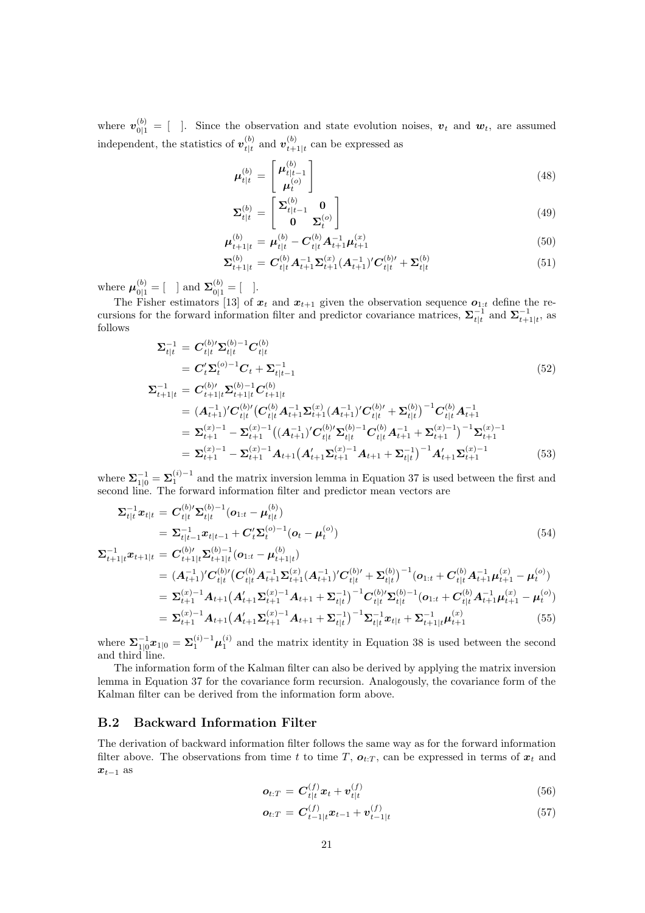where  $\mathbf{v}_{0|1}^{(b)} = [$  ]. Since the observation and state evolution noises,  $\mathbf{v}_t$  and  $\mathbf{w}_t$ , are assumed independent, the statistics of  $v_{t}^{(b)}$  $\frac{\left(b\right)}{t|t}$  and  $\frac{\boldsymbol{v}\left(b\right)}{t+1}$  $_{t+1|t}^{(0)}$  can be expressed as

$$
\mu_{t|t}^{(b)} = \begin{bmatrix} \mu_{t|t-1}^{(b)} \\ \mu_t^{(o)} \end{bmatrix} \tag{48}
$$

$$
\Sigma_{t|t}^{(b)} = \begin{bmatrix} \Sigma_{t|t-1}^{(b)} & \mathbf{0} \\ \mathbf{0} & \Sigma_t^{(o)} \end{bmatrix}
$$
(49)

$$
\mu_{t+1|t}^{(b)} = \mu_{t|t}^{(b)} - C_{t|t}^{(b)} A_{t+1}^{-1} \mu_{t+1}^{(x)}
$$
(50)

$$
\Sigma_{t+1|t}^{(b)} = C_{t|t}^{(b)} A_{t+1}^{-1} \Sigma_{t+1}^{(x)} (A_{t+1}^{-1})' C_{t|t}^{(b)'} + \Sigma_{t|t}^{(b)}
$$
(51)

where  $\mu_{0|1}^{(b)} = [$  ] and  $\Sigma_{0|1}^{(b)} = [$  ].

The Fisher estimators [13] of  $x_t$  and  $x_{t+1}$  given the observation sequence  $o_{1:t}$  define the recursions for the forward information filter and predictor covariance matrices,  $\sum_{t}^{-1}$  and  $\sum_{t+1|t}^{-1}$ , as follows

$$
\Sigma_{t|t}^{-1} = C_{t|t}^{(b)'} \Sigma_{t|t}^{(b)-1} C_{t|t}^{(b)}
$$
\n
$$
= C_t' \Sigma_t^{(o)-1} C_t + \Sigma_{t|t-1}^{-1}
$$
\n
$$
\Sigma_{t+1|t}^{-1} = C_{t+1|t}^{(b)'} \Sigma_{t+1|t}^{(b)-1} C_{t+1|t}^{(b)}
$$
\n(52)

$$
L_{t+1|t} = \mathbf{C}_{t+1|t} \mathbf{C}_{t+1|t} + \mathbf{C}_{t+1|t}
$$
\n
$$
= (\mathbf{A}_{t+1}^{-1})' \mathbf{C}_{t|t}^{(b)'} (\mathbf{C}_{t|t}^{(b)} \mathbf{A}_{t+1}^{-1} \mathbf{\Sigma}_{t+1}^{(x)} (\mathbf{A}_{t+1}^{-1})' \mathbf{C}_{t|t}^{(b)'} + \mathbf{\Sigma}_{t|t}^{(b)})^{-1} \mathbf{C}_{t|t}^{(b)} \mathbf{A}_{t+1}^{-1}
$$
\n
$$
= \mathbf{\Sigma}_{t+1}^{(x)-1} - \mathbf{\Sigma}_{t+1}^{(x)-1} ((\mathbf{A}_{t+1}^{-1})' \mathbf{C}_{t|t}^{(b)'} \mathbf{\Sigma}_{t|t}^{(b)-1} \mathbf{C}_{t|t}^{(b)} \mathbf{A}_{t+1}^{-1} + \mathbf{\Sigma}_{t+1}^{(x)-1})^{-1} \mathbf{\Sigma}_{t+1}^{(x)-1}
$$
\n
$$
= \mathbf{\Sigma}_{t+1}^{(x)-1} - \mathbf{\Sigma}_{t+1}^{(x)-1} \mathbf{A}_{t+1} (\mathbf{A}_{t+1}' \mathbf{\Sigma}_{t+1}^{(x)-1} \mathbf{A}_{t+1} + \mathbf{\Sigma}_{t|t}^{-1})^{-1} \mathbf{A}_{t+1}' \mathbf{\Sigma}_{t+1}^{(x)-1} \tag{53}
$$

where  $\sum_{i=1}^{-1} = \sum_{i=1}^{(i)-1}$  and the matrix inversion lemma in Equation 37 is used between the first and second line. The forward information filter and predictor mean vectors are

$$
\Sigma_{t|t}^{-1}x_{t|t} = C_{t|t}^{(b)'}\Sigma_{t|t}^{(b)-1}(o_{1:t} - \mu_{t|t}^{(b)})
$$
  
=  $\Sigma_{t|t-1}^{-1}x_{t|t-1} + C_t'\Sigma_t^{(o)-1}(o_t - \mu_t^{(o)})$  (54)

$$
\Sigma_{t+1|t}^{-1} x_{t+1|t} = C_{t+1|t}^{(b)/} \Sigma_{t+1|t}^{(b)-1} (o_{1:t} - \mu_{t+1|t}^{(b)})
$$
\n
$$
= (A_{t+1}^{-1})' C_{t|t}^{(b)'} (C_{t|t}^{(b)} A_{t+1}^{-1} \Sigma_{t+1}^{(x)} (A_{t+1}^{-1})' C_{t|t}^{(b)'} + \Sigma_{t|t}^{(b)})^{-1} (o_{1:t} + C_{t|t}^{(b)} A_{t+1}^{-1} \mu_{t+1}^{(x)} - \mu_t^{(o)})
$$
\n
$$
= \Sigma_{t+1}^{(x)-1} A_{t+1} (A_{t+1}' \Sigma_{t+1}^{(x)-1} A_{t+1} + \Sigma_{t|t}^{-1})^{-1} C_{t|t}^{(b)'} \Sigma_{t|t}^{(b)-1} (o_{1:t} + C_{t|t}^{(b)} A_{t+1}^{-1} \mu_{t+1}^{(x)} - \mu_t^{(o)})
$$
\n
$$
= \Sigma_{t+1}^{(x)-1} A_{t+1} (A_{t+1}' \Sigma_{t+1}^{(x)-1} A_{t+1} + \Sigma_{t|t}^{-1})^{-1} \Sigma_{t|t}^{-1} x_{t|t} + \Sigma_{t+1|t}^{-1} \mu_{t+1}^{(x)}
$$
\n(55)

where  $\sum_{i=1}^{-1} x_{1|0} = \sum_{i=1}^{(i)-1} \mu_1^{(i)}$  and the matrix identity in Equation 38 is used between the second and third line.

The information form of the Kalman filter can also be derived by applying the matrix inversion lemma in Equation 37 for the covariance form recursion. Analogously, the covariance form of the Kalman filter can be derived from the information form above.

#### B.2 Backward Information Filter

The derivation of backward information filter follows the same way as for the forward information filter above. The observations from time t to time T,  $o_{t:T}$ , can be expressed in terms of  $x_t$  and  $x_{t-1}$  as

$$
\boldsymbol{o}_{t:T} = \boldsymbol{C}_{t|t}^{(f)} \boldsymbol{x}_t + \boldsymbol{v}_{t|t}^{(f)} \tag{56}
$$

$$
\boldsymbol{o}_{t:T} = \boldsymbol{C}_{t-1|t}^{(f)} \boldsymbol{x}_{t-1} + \boldsymbol{v}_{t-1|t}^{(f)} \tag{57}
$$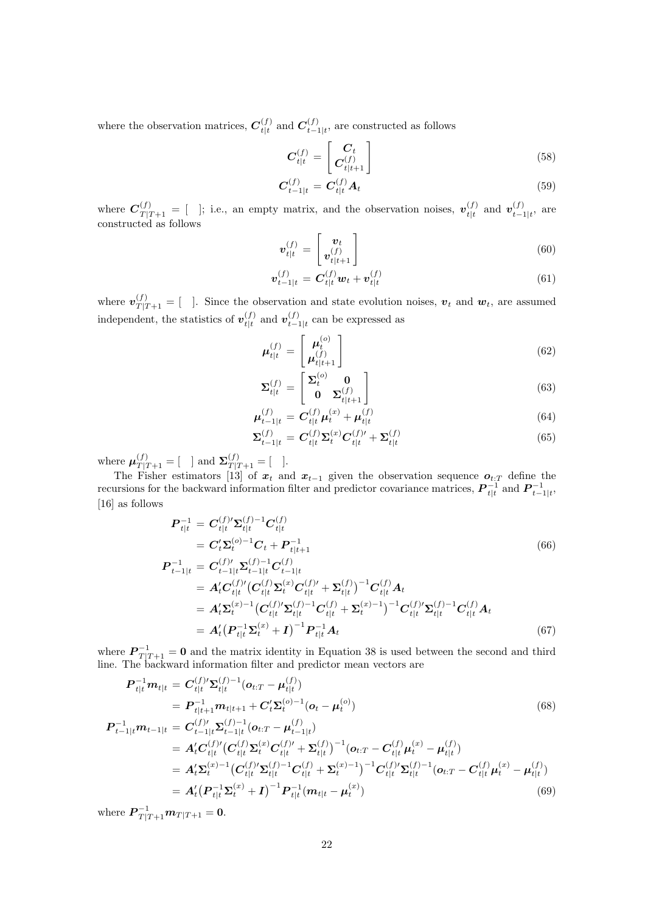where the observation matrices,  $C_{t|t}^{(f)}$  $t|t|$  and  $\mathcal{C}_{t-1}^{(f)}$  $_{t-1|t}^{(J)}$ , are constructed as follows

$$
\boldsymbol{C}_{t|t}^{(f)} = \begin{bmatrix} \boldsymbol{C}_t \\ \boldsymbol{C}_{t|t+1}^{(f)} \end{bmatrix} \tag{58}
$$

$$
\boldsymbol{C}_{t-1|t}^{(f)} = \boldsymbol{C}_{t|t}^{(f)} \boldsymbol{A}_t \tag{59}
$$

where  $\mathbf{C}_{T|T+1}^{(f)} = [$  ]; i.e., an empty matrix, and the observation noises,  $\mathbf{v}_{t|t}^{(f)}$  $\begin{array}{c} (f) \ t|t \end{array}$  and  $\boldsymbol{v}_{t-1}^{(f)}$  $_{t-1|t}^{(J)}$ , are constructed as follows

$$
\boldsymbol{v}_{t|t}^{(f)} = \begin{bmatrix} \boldsymbol{v}_t \\ \boldsymbol{v}_{t|t+1}^{(f)} \end{bmatrix} \tag{60}
$$

$$
\boldsymbol{v}_{t-1|t}^{(f)} = \boldsymbol{C}_{t|t}^{(f)} \boldsymbol{w}_t + \boldsymbol{v}_{t|t}^{(f)}
$$
(61)

where  $v_{T|T+1}^{(f)} = [$  ]. Since the observation and state evolution noises,  $v_t$  and  $w_t$ , are assumed independent, the statistics of  $v_{t|t}^{(f)}$  $t|t|$  and  $\boldsymbol{v}_{t-1}^{(f)}$  $_{t-1|t}^{(J)}$  can be expressed as

$$
\mu_{t|t}^{(f)} = \begin{bmatrix} \mu_t^{(o)} \\ \mu_{t|t+1}^{(f)} \end{bmatrix}
$$
\n(62)

$$
\Sigma_{t|t}^{(f)} = \begin{bmatrix} \Sigma_t^{(o)} & \mathbf{0} \\ \mathbf{0} & \Sigma_{t|t+1}^{(f)} \end{bmatrix} \tag{63}
$$

$$
\mu_{t-1|t}^{(f)} = C_{t|t}^{(f)} \mu_t^{(x)} + \mu_{t|t}^{(f)}
$$
(64)

$$
\Sigma_{t-1|t}^{(f)} = C_{t|t}^{(f)} \Sigma_t^{(x)} C_{t|t}^{(f)'} + \Sigma_{t|t}^{(f)}
$$
(65)

where  $\mu_{T|T+1}^{(f)} = [$  and  $\Sigma_{T|T+1}^{(f)} = [$  ].

The Fisher estimators [13] of  $x_t$  and  $x_{t-1}$  given the observation sequence  $o_{t:T}$  define the recursions for the backward information filter and predictor covariance matrices,  $\mathbf{P}_{t|t}^{-1}$  and  $\mathbf{P}_{t-1|t}^{-1}$ , [16] as follows

$$
P_{t|t}^{-1} = C_{t|t}^{(f)'} \Sigma_{t|t}^{(f)-1} C_{t|t}^{(f)}
$$
  
\n
$$
= C_{t}' \Sigma_{t}^{(o)-1} C_{t} + P_{t|t+1}^{-1}
$$
  
\n
$$
P_{t-1|t}^{-1} = C_{t-1|t}'^{(f)'} \Sigma_{t-1|t}^{(f)-1} C_{t-1|t}^{(f)}
$$
  
\n
$$
= A_{t}' C_{t|t}'^{(f)'} (C_{t|t}'^{(f)} \Sigma_{t|t}^{(x)} C_{t|t}^{(f)'} + \Sigma_{t|t}^{(f)})^{-1} C_{t|t}^{(f)} A_{t}
$$
  
\n
$$
= A_{t}' \Sigma_{t}^{(x)-1} (C_{t|t}'^{(f)'} \Sigma_{t|t}^{(f)-1} C_{t|t}^{(f)} + \Sigma_{t}^{(x)-1})^{-1} C_{t|t}'^{(f)'} \Sigma_{t|t}^{(f)-1} C_{t|t}^{(f)} A_{t}
$$
  
\n
$$
= A_{t}' (P_{t|t}^{-1} \Sigma_{t}^{(x)} + I)^{-1} P_{t|t}^{-1} A_{t}
$$
  
\n(67)

where  $\mathbf{P}_{T|T+1}^{-1} = \mathbf{0}$  and the matrix identity in Equation 38 is used between the second and third line. The backward information filter and predictor mean vectors are

$$
P_{t|t}^{-1}m_{t|t} = C_{t|t}^{(f)'}\Sigma_{t|t}^{(f)-1}(o_{t:T} - \mu_{t|t}^{(f)})
$$
  
\n
$$
= P_{t|t+1}^{-1}m_{t|t+1} + C_t'\Sigma_t^{(o)-1}(o_t - \mu_t^{(o)})
$$
  
\n
$$
P_{t-1|t}^{-1}m_{t-1|t} = C_{t-1|t}^{(f)'}\Sigma_{t-1|t}^{(f)-1}(o_{t:T} - \mu_{t-1|t}^{(f)})
$$
\n(68)

$$
\begin{split} \boldsymbol{P}_{t-1|t}^{-1} \boldsymbol{m}_{t-1|t} &= \boldsymbol{C}_{t-1|t}^{(f)/} \boldsymbol{\Sigma}_{t-1|t}^{(f)-1} (\boldsymbol{o}_{t:T} - \boldsymbol{\mu}_{t-1|t}^{(f)}) \\ &= \boldsymbol{A}_t^t \boldsymbol{C}_{t|t}^{(f) \prime} (\boldsymbol{C}_{t|t}^{(f)} \boldsymbol{\Sigma}_t^{(x)} \boldsymbol{C}_{t|t}^{(f) \prime} + \boldsymbol{\Sigma}_{t|t}^{(f)})^{-1} (\boldsymbol{o}_{t:T} - \boldsymbol{C}_{t|t}^{(f)} \boldsymbol{\mu}_t^{(x)} - \boldsymbol{\mu}_{t|t}^{(f)}) \\ &= \boldsymbol{A}_t^t \boldsymbol{\Sigma}_t^{(x)-1} (\boldsymbol{C}_{t|t}^{(f) \prime} \boldsymbol{\Sigma}_{t|t}^{(f)-1} \boldsymbol{C}_{t|t}^{(f)} + \boldsymbol{\Sigma}_t^{(x)-1})^{-1} \boldsymbol{C}_{t|t}^{(f) \prime} \boldsymbol{\Sigma}_{t|t}^{(f)-1} (\boldsymbol{o}_{t:T} - \boldsymbol{C}_{t|t}^{(f)} \boldsymbol{\mu}_t^{(x)} - \boldsymbol{\mu}_{t|t}^{(f)}) \\ &= \boldsymbol{A}_t^t (\boldsymbol{P}_{t|t}^{-1} \boldsymbol{\Sigma}_t^{(x)} + \boldsymbol{I})^{-1} \boldsymbol{P}_{t|t}^{-1} (\boldsymbol{m}_{t|t} - \boldsymbol{\mu}_t^{(x)}) \end{split} \tag{69}
$$

where  $\bm{P}_{T|T+1}^{-1}\bm{m}_{T|T+1} = \bm{0}$ .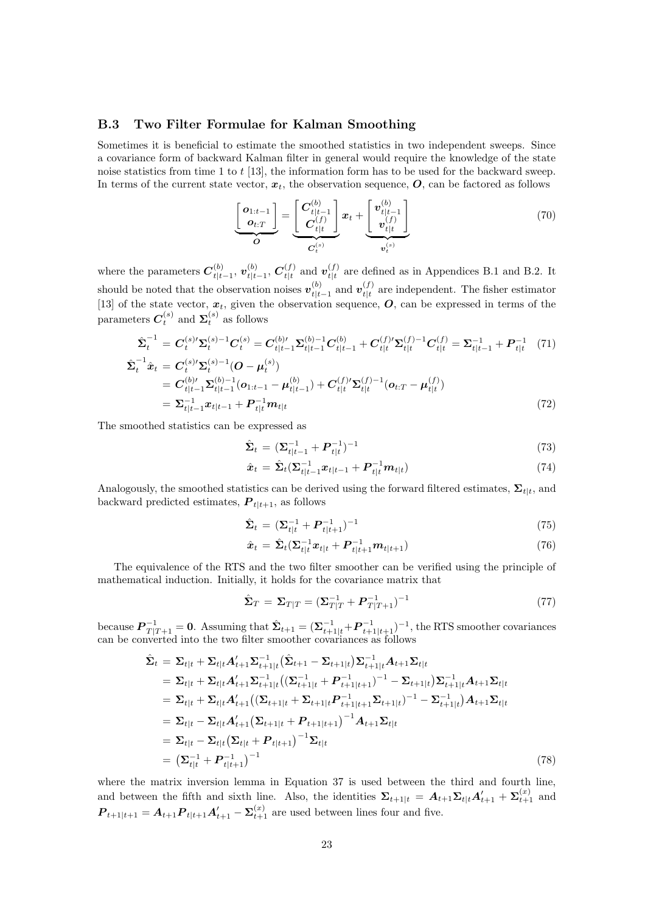## B.3 Two Filter Formulae for Kalman Smoothing

Sometimes it is beneficial to estimate the smoothed statistics in two independent sweeps. Since a covariance form of backward Kalman filter in general would require the knowledge of the state noise statistics from time 1 to t [13], the information form has to be used for the backward sweep. In terms of the current state vector,  $x_t$ , the observation sequence,  $\boldsymbol{O}$ , can be factored as follows

$$
\underbrace{\begin{bmatrix} \boldsymbol{o}_{1:t-1} \\ \boldsymbol{o}_{t:T} \end{bmatrix}}_{\boldsymbol{O}} = \underbrace{\begin{bmatrix} \boldsymbol{C}_{t|t-1}^{(b)} \\ \boldsymbol{C}_{t|t}^{(f)} \end{bmatrix}}_{\boldsymbol{C}_{t}^{(s)}} \boldsymbol{x}_{t} + \underbrace{\begin{bmatrix} \boldsymbol{v}_{t|t-1}^{(b)} \\ \boldsymbol{v}_{t|t}^{(f)} \end{bmatrix}}_{\boldsymbol{v}_{t}^{(s)}} \tag{70}
$$

where the parameters  $C_{t|t}^{(b)}$  $\frac{(b)}{t|t-1},\, \bm{v}_{t|t}^{(b)}$  $\frac{b}{t|t-1},$   $\boldsymbol{C}_{t|t}^{(f)}$  $t|t|$  and  $\boldsymbol{v}_{t|t}^{(f)}$  $t_{t}^{(f)}$  are defined as in Appendices B.1 and B.2. It should be noted that the observation noises  $v_{t|t}^{(b)}$  $_{t|t-1}^{(b)}$  and  $\bm{v}_{t|t}^{(f)}$  $t_{t}^{(j)}$  are independent. The fisher estimator [13] of the state vector,  $x_t$ , given the observation sequence,  $\bm{O}$ , can be expressed in terms of the parameters  $C_t^{(s)}$  and  $\Sigma_t^{(s)}$  as follows

$$
\hat{\Sigma}_{t}^{-1} = C_{t}^{(s)\prime} \Sigma_{t}^{(s)-1} C_{t}^{(s)} = C_{t|t-1}^{(b)\prime} \Sigma_{t|t-1}^{(b)-1} C_{t|t-1}^{(b)} + C_{t|t}^{(f)\prime} \Sigma_{t|t}^{(f)-1} C_{t|t}^{(f)} = \Sigma_{t|t-1}^{-1} + P_{t|t}^{-1} (71)
$$
\n
$$
\hat{\Sigma}_{t}^{-1} \hat{x}_{t} = C_{t}^{(s)\prime} \Sigma_{t}^{(s)-1} (O - \mu_{t}^{(s)})
$$

$$
= C_{t|t-1}^{(b)/2} \Sigma_{t|t-1}^{(b)-1} (o_{1:t-1} - \mu_{t|t-1}^{(b)}) + C_{t|t}^{(f)/2} \Sigma_{t|t}^{(f)-1} (o_{t:T} - \mu_{t|t}^{(f)})
$$
  
=  $\Sigma_{t|t-1}^{-1} x_{t|t-1} + P_{t|t}^{-1} m_{t|t}$  (72)

The smoothed statistics can be expressed as

$$
\hat{\Sigma}_t = (\Sigma_{t|t-1}^{-1} + P_{t|t}^{-1})^{-1}
$$
\n(73)

$$
\hat{x}_t = \hat{\Sigma}_t (\Sigma_{t|t-1}^{-1} x_{t|t-1} + P_{t|t}^{-1} m_{t|t})
$$
\n(74)

Analogously, the smoothed statistics can be derived using the forward filtered estimates,  $\Sigma_{t|t}$ , and backward predicted estimates,  $P_{t|t+1}$ , as follows

$$
\hat{\Sigma}_t = (\Sigma_{t|t}^{-1} + P_{t|t+1}^{-1})^{-1} \tag{75}
$$

$$
\hat{x}_t = \hat{\Sigma}_t (\Sigma_{t|t}^{-1} x_{t|t} + P_{t|t+1}^{-1} m_{t|t+1})
$$
\n(76)

The equivalence of the RTS and the two filter smoother can be verified using the principle of mathematical induction. Initially, it holds for the covariance matrix that

$$
\hat{\Sigma}_T = \Sigma_{T|T} = (\Sigma_{T|T}^{-1} + P_{T|T+1}^{-1})^{-1}
$$
\n(77)

because  $\boldsymbol{P}_{T|T+1}^{-1} = \boldsymbol{0}$ . Assuming that  $\hat{\boldsymbol{\Sigma}}_{t+1} = (\boldsymbol{\Sigma}_{t+1|t}^{-1} + \boldsymbol{P}_{t+1|t+1}^{-1})^{-1}$ , the RTS smoother covariances can be converted into the two filter smoother covariances as follows

$$
\hat{\Sigma}_{t} = \Sigma_{t|t} + \Sigma_{t|t} A'_{t+1} \Sigma_{t+1|t}^{-1} (\hat{\Sigma}_{t+1} - \Sigma_{t+1|t}) \Sigma_{t+1|t}^{-1} A_{t+1} \Sigma_{t|t} \n= \Sigma_{t|t} + \Sigma_{t|t} A'_{t+1} \Sigma_{t+1|t}^{-1} ((\Sigma_{t+1|t}^{-1} + P_{t+1|t+1}^{-1})^{-1} - \Sigma_{t+1|t}) \Sigma_{t+1|t}^{-1} A_{t+1} \Sigma_{t|t} \n= \Sigma_{t|t} + \Sigma_{t|t} A'_{t+1} ((\Sigma_{t+1|t} + \Sigma_{t+1|t} P_{t+1|t+1}^{-1} \Sigma_{t+1|t})^{-1} - \Sigma_{t+1|t}^{-1}) A_{t+1} \Sigma_{t|t} \n= \Sigma_{t|t} - \Sigma_{t|t} A'_{t+1} (\Sigma_{t+1|t} + P_{t+1|t+1})^{-1} A_{t+1} \Sigma_{t|t} \n= \Sigma_{t|t} - \Sigma_{t|t} (\Sigma_{t|t} + P_{t|t+1})^{-1} \Sigma_{t|t} \n= (\Sigma_{t|t}^{-1} + P_{t|t+1}^{-1})^{-1}
$$
\n(78)

where the matrix inversion lemma in Equation 37 is used between the third and fourth line, and between the fifth and sixth line. Also, the identities  $\Sigma_{t+1|t} = A_{t+1} \Sigma_{t|t} A'_{t+1} + \Sigma_{t+1}^{(x)}$  and  $P_{t+1|t+1} = A_{t+1}P_{t|t+1}A'_{t+1} - \Sigma_{t+1}^{(x)}$  are used between lines four and five.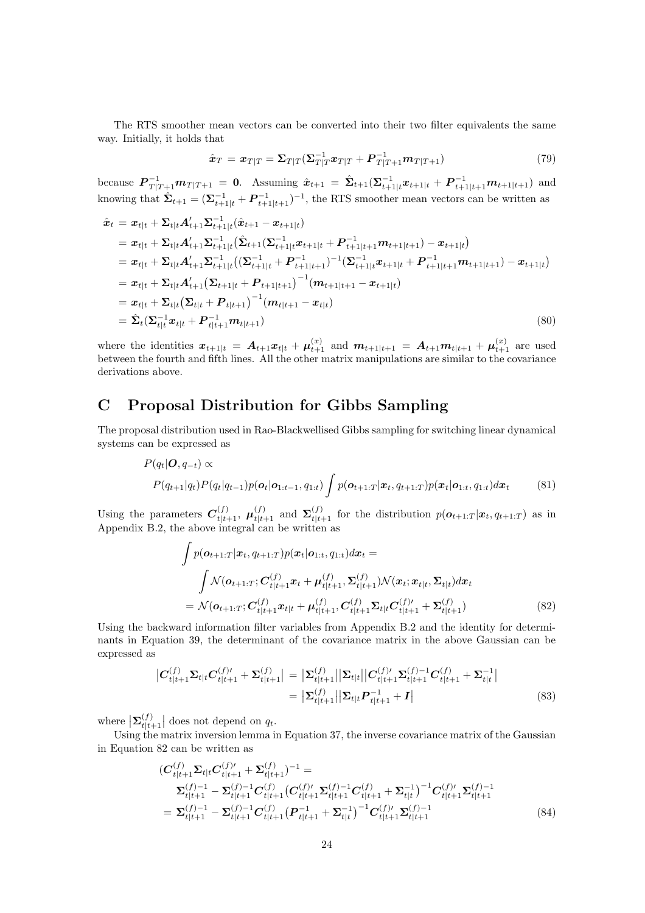The RTS smoother mean vectors can be converted into their two filter equivalents the same way. Initially, it holds that

$$
\hat{\boldsymbol{x}}_T = \boldsymbol{x}_{T|T} = \boldsymbol{\Sigma}_{T|T} (\boldsymbol{\Sigma}_{T|T}^{-1} \boldsymbol{x}_{T|T} + \boldsymbol{P}_{T|T+1}^{-1} \boldsymbol{m}_{T|T+1}) \tag{79}
$$

because  $P_{T|T+1}^{-1}m_{T|T+1} = 0$ . Assuming  $\hat{x}_{t+1} = \hat{\Sigma}_{t+1}(\Sigma_{t+1|t}^{-1}x_{t+1|t} + P_{t+1|t+1}^{-1}m_{t+1|t+1})$  and knowing that  $\hat{\Sigma}_{t+1} = (\Sigma_{t+1|t}^{-1} + P_{t+1|t+1}^{-1})^{-1}$ , the RTS smoother mean vectors can be written as

$$
\hat{x}_t = x_{t|t} + \Sigma_{t|t} A'_{t+1} \Sigma_{t+1|t}^{-1} (\hat{x}_{t+1} - x_{t+1|t})
$$
\n
$$
= x_{t|t} + \Sigma_{t|t} A'_{t+1} \Sigma_{t+1|t}^{-1} (\hat{\Sigma}_{t+1} (\Sigma_{t+1|t}^{-1} x_{t+1|t} + P_{t+1|t+1}^{-1} m_{t+1|t+1}) - x_{t+1|t})
$$
\n
$$
= x_{t|t} + \Sigma_{t|t} A'_{t+1} \Sigma_{t+1|t}^{-1} ((\Sigma_{t+1|t}^{-1} + P_{t+1|t+1}^{-1})^{-1} (\Sigma_{t+1|t}^{-1} x_{t+1|t} + P_{t+1|t+1}^{-1} m_{t+1|t+1}) - x_{t+1|t})
$$
\n
$$
= x_{t|t} + \Sigma_{t|t} A'_{t+1} (\Sigma_{t+1|t} + P_{t+1|t+1})^{-1} (m_{t+1|t+1} - x_{t+1|t})
$$
\n
$$
= x_{t|t} + \Sigma_{t|t} (\Sigma_{t|t} + P_{t|t+1})^{-1} (m_{t|t+1} - x_{t|t})
$$
\n
$$
= \hat{\Sigma}_t (\Sigma_{t|t}^{-1} x_{t|t} + P_{t|t+1}^{-1} m_{t|t+1})
$$
\n(80)

where the identities  $x_{t+1|t} = A_{t+1}x_{t|t} + \mu_{t+1}^{(x)}$  and  $m_{t+1|t+1} = A_{t+1}m_{t|t+1} + \mu_{t+1}^{(x)}$  are used between the fourth and fifth lines. All the other matrix manipulations are similar to the covariance derivations above.

# C Proposal Distribution for Gibbs Sampling

The proposal distribution used in Rao-Blackwellised Gibbs sampling for switching linear dynamical systems can be expressed as

$$
P(q_t|\boldsymbol{O}, q_{-t}) \propto
$$
  
\n
$$
P(q_{t+1}|q_t)P(q_t|q_{t-1})p(\boldsymbol{o}_t|\boldsymbol{o}_{1:t-1}, q_{1:t}) \int p(\boldsymbol{o}_{t+1:T}|\boldsymbol{x}_t, q_{t+1:T})p(\boldsymbol{x}_t|\boldsymbol{o}_{1:t}, q_{1:t})d\boldsymbol{x}_t
$$
\n(81)

Using the parameters  $C_{t|t+1}^{(f)}$ ,  $\mu_{t|t+1}^{(f)}$  and  $\Sigma_{t|t+1}^{(f)}$  for the distribution  $p(o_{t+1:T} | x_t, q_{t+1:T})$  as in Appendix B.2, the above integral can be written as

$$
\int p(\mathbf{o}_{t+1:T}|\mathbf{x}_t, q_{t+1:T}) p(\mathbf{x}_t|\mathbf{o}_{1:t}, q_{1:t}) d\mathbf{x}_t =
$$
\n
$$
\int \mathcal{N}(\mathbf{o}_{t+1:T}; \mathbf{C}_{t|t+1}^{(f)} \mathbf{x}_t + \boldsymbol{\mu}_{t|t+1}^{(f)}, \boldsymbol{\Sigma}_{t|t+1}^{(f)}) \mathcal{N}(\mathbf{x}_t; \mathbf{x}_{t|t}, \boldsymbol{\Sigma}_{t|t}) d\mathbf{x}_t
$$
\n
$$
= \mathcal{N}(\mathbf{o}_{t+1:T}; \mathbf{C}_{t|t+1}^{(f)} \mathbf{x}_{t|t} + \boldsymbol{\mu}_{t|t+1}^{(f)}, \mathbf{C}_{t|t+1}^{(f)} \boldsymbol{\Sigma}_{t|t} \mathbf{C}_{t|t+1}^{(f)'} + \boldsymbol{\Sigma}_{t|t+1}^{(f)})
$$
\n(82)

Using the backward information filter variables from Appendix B.2 and the identity for determinants in Equation 39, the determinant of the covariance matrix in the above Gaussian can be expressed as

$$
\begin{aligned} \left| C_{t|t+1}^{(f)} \Sigma_{t|t} C_{t|t+1}^{(f)'} + \Sigma_{t|t+1}^{(f)} \right| &= \left| \Sigma_{t|t+1}^{(f)} \right| \Sigma_{t|t} \left| \left| C_{t|t+1}^{(f)'} \Sigma_{t|t+1}^{(f)-1} C_{t|t+1}^{(f)} + \Sigma_{t|t}^{-1} \right| \\ &= \left| \Sigma_{t|t+1}^{(f)} \right| \left| \Sigma_{t|t} P_{t|t+1}^{-1} + I \right| \end{aligned} \tag{83}
$$

where  $\left|\boldsymbol{\Sigma}_{t|t-}^{(f)}\right|$  $\left\{\begin{array}{c}\n(t) \\
t|t+1\n\end{array}\right\}$  does not depend on  $q_t$ .

Using the matrix inversion lemma in Equation 37, the inverse covariance matrix of the Gaussian in Equation 82 can be written as

$$
(C_{t|t+1}^{(f)} \Sigma_{t|t} C_{t|t+1}^{(f)'} + \Sigma_{t|t+1}^{(f)})^{-1} =
$$
  
\n
$$
\Sigma_{t|t+1}^{(f)-1} - \Sigma_{t|t+1}^{(f)-1} C_{t|t+1}^{(f)} (C_{t|t+1}^{(f)'} \Sigma_{t|t+1}^{(f)-1} C_{t|t+1}^{(f)} + \Sigma_{t|t}^{-1})^{-1} C_{t|t+1}^{(f)'} \Sigma_{t|t+1}^{(f)-1}
$$
  
\n
$$
= \Sigma_{t|t+1}^{(f)-1} - \Sigma_{t|t+1}^{(f)-1} C_{t|t+1}^{(f)} (P_{t|t+1}^{-1} + \Sigma_{t|t}^{-1})^{-1} C_{t|t+1}^{(f)'} \Sigma_{t|t+1}^{(f)-1}
$$
\n(84)